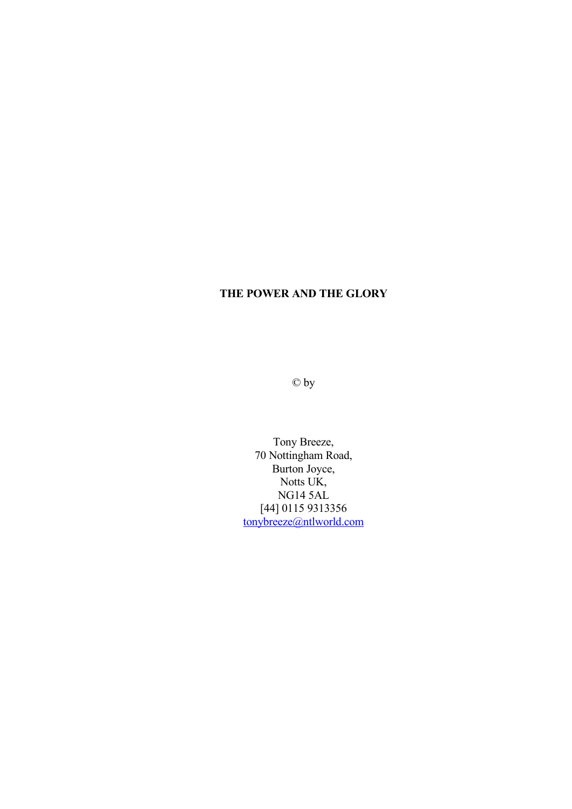© by

Tony Breeze, 70 Nottingham Road, Burton Joyce, Notts UK, NG14 5AL [44] 0115 9313356 [tonybreeze@ntlworld.com](mailto:tonybreeze@ntlworld.com)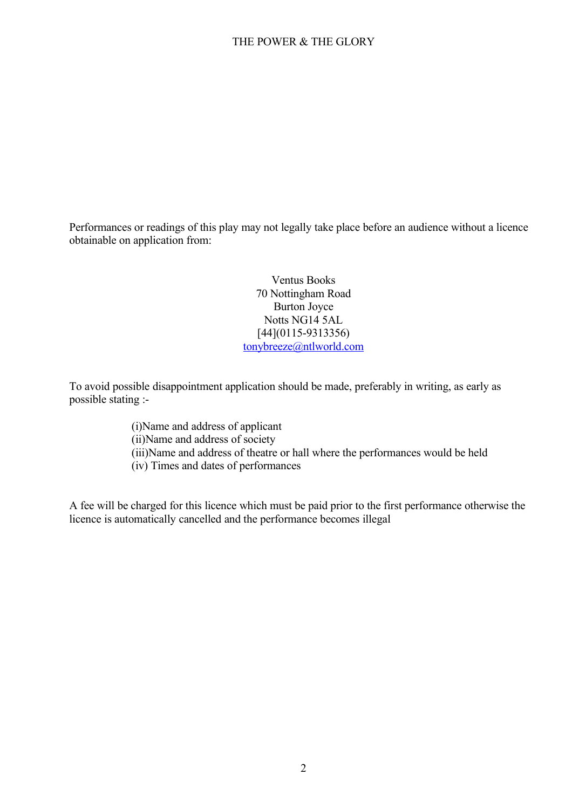Performances or readings of this play may not legally take place before an audience without a licence obtainable on application from:

> Ventus Books 70 Nottingham Road Burton Joyce Notts NG14 5AL [44](0115-9313356) [tonybreeze@ntlworld.com](mailto:tonybreeze@ntlworld.com)

To avoid possible disappointment application should be made, preferably in writing, as early as possible stating :-

> (i)Name and address of applicant (ii)Name and address of society (iii)Name and address of theatre or hall where the performances would be held (iv) Times and dates of performances

A fee will be charged for this licence which must be paid prior to the first performance otherwise the licence is automatically cancelled and the performance becomes illegal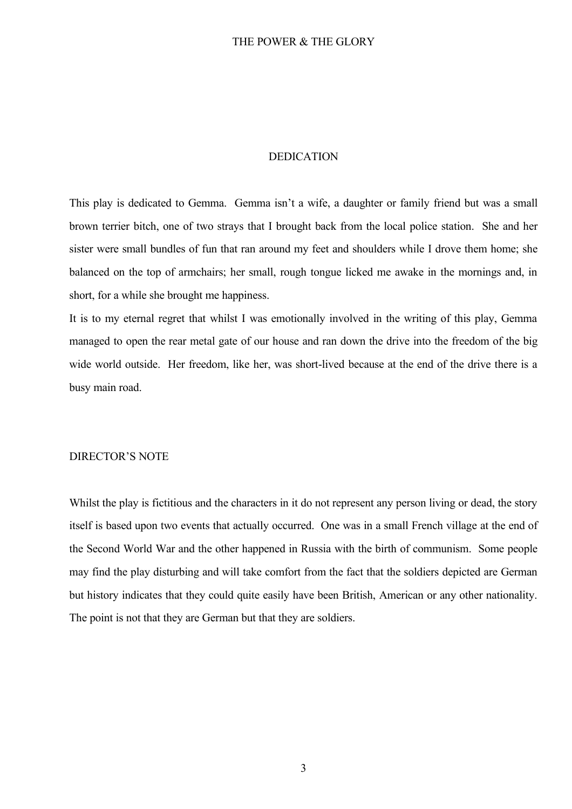#### DEDICATION

This play is dedicated to Gemma. Gemma isn't a wife, a daughter or family friend but was a small brown terrier bitch, one of two strays that I brought back from the local police station. She and her sister were small bundles of fun that ran around my feet and shoulders while I drove them home; she balanced on the top of armchairs; her small, rough tongue licked me awake in the mornings and, in short, for a while she brought me happiness.

It is to my eternal regret that whilst I was emotionally involved in the writing of this play, Gemma managed to open the rear metal gate of our house and ran down the drive into the freedom of the big wide world outside. Her freedom, like her, was short-lived because at the end of the drive there is a busy main road.

#### DIRECTOR'S NOTE

Whilst the play is fictitious and the characters in it do not represent any person living or dead, the story itself is based upon two events that actually occurred. One was in a small French village at the end of the Second World War and the other happened in Russia with the birth of communism. Some people may find the play disturbing and will take comfort from the fact that the soldiers depicted are German but history indicates that they could quite easily have been British, American or any other nationality. The point is not that they are German but that they are soldiers.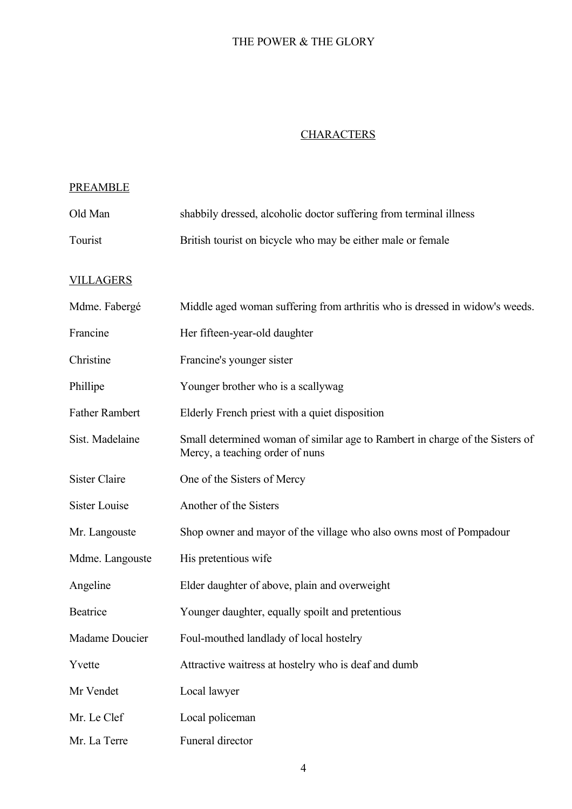# **CHARACTERS**

## PREAMBLE

| Old Man               | shabbily dressed, alcoholic doctor suffering from terminal illness                                              |
|-----------------------|-----------------------------------------------------------------------------------------------------------------|
| Tourist               | British tourist on bicycle who may be either male or female                                                     |
| <b>VILLAGERS</b>      |                                                                                                                 |
| Mdme. Fabergé         | Middle aged woman suffering from arthritis who is dressed in widow's weeds.                                     |
| Francine              | Her fifteen-year-old daughter                                                                                   |
| Christine             | Francine's younger sister                                                                                       |
| Phillipe              | Younger brother who is a scallywag                                                                              |
| <b>Father Rambert</b> | Elderly French priest with a quiet disposition                                                                  |
| Sist. Madelaine       | Small determined woman of similar age to Rambert in charge of the Sisters of<br>Mercy, a teaching order of nuns |
| <b>Sister Claire</b>  | One of the Sisters of Mercy                                                                                     |
| <b>Sister Louise</b>  | Another of the Sisters                                                                                          |
| Mr. Langouste         | Shop owner and mayor of the village who also owns most of Pompadour                                             |
| Mdme. Langouste       | His pretentious wife                                                                                            |
| Angeline              | Elder daughter of above, plain and overweight                                                                   |
| Beatrice              | Younger daughter, equally spoilt and pretentious                                                                |
| Madame Doucier        | Foul-mouthed landlady of local hostelry                                                                         |
| Yvette                | Attractive waitress at hostelry who is deaf and dumb                                                            |
| Mr Vendet             | Local lawyer                                                                                                    |
| Mr. Le Clef           | Local policeman                                                                                                 |
| Mr. La Terre          | Funeral director                                                                                                |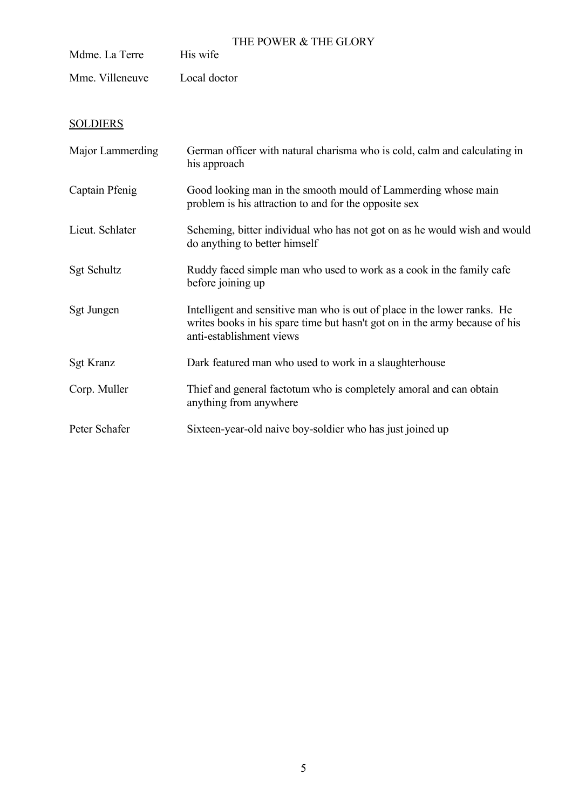| Mdme. La Terre   | THE POWER & THE GLORY<br>His wife                                                                                                                                                   |
|------------------|-------------------------------------------------------------------------------------------------------------------------------------------------------------------------------------|
| Mme. Villeneuve  | Local doctor                                                                                                                                                                        |
| <b>SOLDIERS</b>  |                                                                                                                                                                                     |
| Major Lammerding | German officer with natural charisma who is cold, calm and calculating in<br>his approach                                                                                           |
| Captain Pfenig   | Good looking man in the smooth mould of Lammerding whose main<br>problem is his attraction to and for the opposite sex                                                              |
| Lieut. Schlater  | Scheming, bitter individual who has not got on as he would wish and would<br>do anything to better himself                                                                          |
| Sgt Schultz      | Ruddy faced simple man who used to work as a cook in the family cafe<br>before joining up                                                                                           |
| Sgt Jungen       | Intelligent and sensitive man who is out of place in the lower ranks. He<br>writes books in his spare time but hasn't got on in the army because of his<br>anti-establishment views |
| <b>Sgt Kranz</b> | Dark featured man who used to work in a slaughterhouse                                                                                                                              |
| Corp. Muller     | Thief and general factotum who is completely amoral and can obtain<br>anything from anywhere                                                                                        |
| Peter Schafer    | Sixteen-year-old naive boy-soldier who has just joined up                                                                                                                           |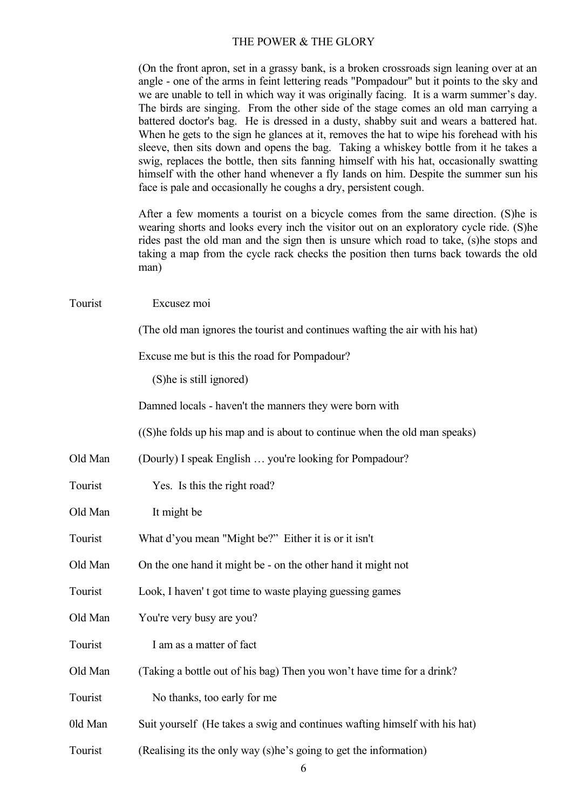(On the front apron, set in a grassy bank, is a broken crossroads sign leaning over at an angle - one of the arms in feint lettering reads "Pompadour" but it points to the sky and we are unable to tell in which way it was originally facing. It is a warm summer's day. The birds are singing. From the other side of the stage comes an old man carrying a battered doctor's bag. He is dressed in a dusty, shabby suit and wears a battered hat. When he gets to the sign he glances at it, removes the hat to wipe his forehead with his sleeve, then sits down and opens the bag. Taking a whiskey bottle from it he takes a swig, replaces the bottle, then sits fanning himself with his hat, occasionally swatting himself with the other hand whenever a fly Iands on him. Despite the summer sun his face is pale and occasionally he coughs a dry, persistent cough.

After a few moments a tourist on a bicycle comes from the same direction. (S)he is wearing shorts and looks every inch the visitor out on an exploratory cycle ride. (S)he rides past the old man and the sign then is unsure which road to take, (s)he stops and taking a map from the cycle rack checks the position then turns back towards the old man)

| Tourist | Excusez moi                                                                  |
|---------|------------------------------------------------------------------------------|
|         | (The old man ignores the tourist and continues wafting the air with his hat) |
|         | Excuse me but is this the road for Pompadour?                                |
|         | (S) he is still ignored)                                                     |
|         | Damned locals - haven't the manners they were born with                      |
|         | ((S) he folds up his map and is about to continue when the old man speaks)   |
| Old Man | (Dourly) I speak English  you're looking for Pompadour?                      |
| Tourist | Yes. Is this the right road?                                                 |
| Old Man | It might be                                                                  |
| Tourist | What d'you mean "Might be?" Either it is or it isn't                         |
| Old Man | On the one hand it might be - on the other hand it might not                 |
| Tourist | Look, I haven't got time to waste playing guessing games                     |
| Old Man | You're very busy are you?                                                    |
| Tourist | I am as a matter of fact                                                     |
| Old Man | (Taking a bottle out of his bag) Then you won't have time for a drink?       |
| Tourist | No thanks, too early for me                                                  |
| 0ld Man | Suit yourself (He takes a swig and continues wafting himself with his hat)   |
| Tourist | (Realising its the only way (s)he's going to get the information)            |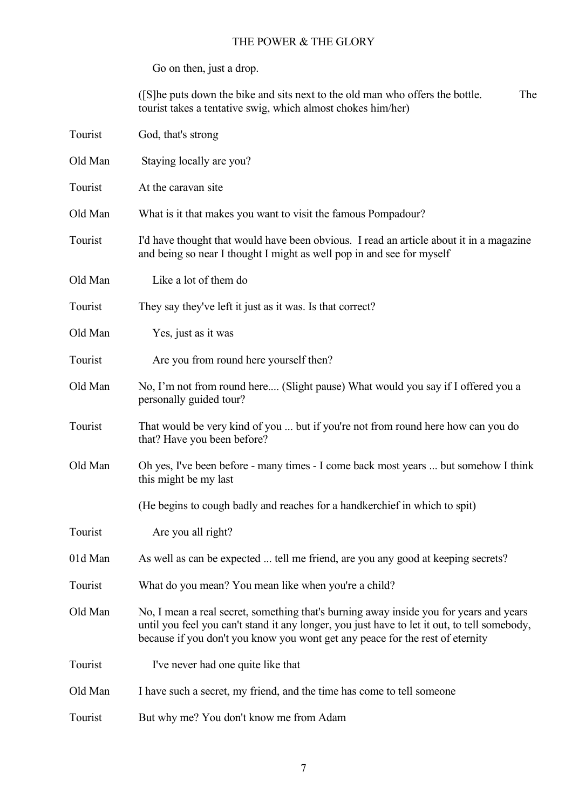Go on then, just a drop.

([S]he puts down the bike and sits next to the old man who offers the bottle. The tourist takes a tentative swig, which almost chokes him/her)

| Tourist | God, that's strong                                                                                                                                                                                                                                                      |
|---------|-------------------------------------------------------------------------------------------------------------------------------------------------------------------------------------------------------------------------------------------------------------------------|
| Old Man | Staying locally are you?                                                                                                                                                                                                                                                |
| Tourist | At the caravan site                                                                                                                                                                                                                                                     |
| Old Man | What is it that makes you want to visit the famous Pompadour?                                                                                                                                                                                                           |
| Tourist | I'd have thought that would have been obvious. I read an article about it in a magazine<br>and being so near I thought I might as well pop in and see for myself                                                                                                        |
| Old Man | Like a lot of them do                                                                                                                                                                                                                                                   |
| Tourist | They say they've left it just as it was. Is that correct?                                                                                                                                                                                                               |
| Old Man | Yes, just as it was                                                                                                                                                                                                                                                     |
| Tourist | Are you from round here yourself then?                                                                                                                                                                                                                                  |
| Old Man | No, I'm not from round here (Slight pause) What would you say if I offered you a<br>personally guided tour?                                                                                                                                                             |
| Tourist | That would be very kind of you  but if you're not from round here how can you do<br>that? Have you been before?                                                                                                                                                         |
| Old Man | Oh yes, I've been before - many times - I come back most years  but somehow I think<br>this might be my last                                                                                                                                                            |
|         | (He begins to cough badly and reaches for a handkerchief in which to spit)                                                                                                                                                                                              |
| Tourist | Are you all right?                                                                                                                                                                                                                                                      |
| 01d Man | As well as can be expected  tell me friend, are you any good at keeping secrets?                                                                                                                                                                                        |
| Tourist | What do you mean? You mean like when you're a child?                                                                                                                                                                                                                    |
| Old Man | No, I mean a real secret, something that's burning away inside you for years and years<br>until you feel you can't stand it any longer, you just have to let it out, to tell somebody,<br>because if you don't you know you wont get any peace for the rest of eternity |
| Tourist | I've never had one quite like that                                                                                                                                                                                                                                      |
| Old Man | I have such a secret, my friend, and the time has come to tell someone                                                                                                                                                                                                  |
| Tourist | But why me? You don't know me from Adam                                                                                                                                                                                                                                 |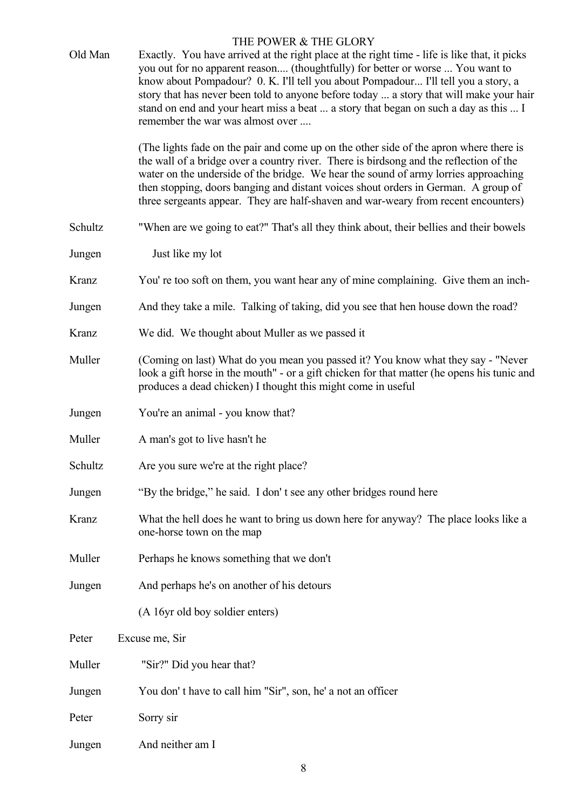| Old Man | THE POWER & THE GLORY<br>Exactly. You have arrived at the right place at the right time - life is like that, it picks<br>you out for no apparent reason (thoughtfully) for better or worse  You want to<br>know about Pompadour? 0. K. I'll tell you about Pompadour I'll tell you a story, a<br>story that has never been told to anyone before today  a story that will make your hair<br>stand on end and your heart miss a beat  a story that began on such a day as this  I        |
|---------|-----------------------------------------------------------------------------------------------------------------------------------------------------------------------------------------------------------------------------------------------------------------------------------------------------------------------------------------------------------------------------------------------------------------------------------------------------------------------------------------|
|         | remember the war was almost over<br>(The lights fade on the pair and come up on the other side of the apron where there is<br>the wall of a bridge over a country river. There is birdsong and the reflection of the<br>water on the underside of the bridge. We hear the sound of army lorries approaching<br>then stopping, doors banging and distant voices shout orders in German. A group of<br>three sergeants appear. They are half-shaven and war-weary from recent encounters) |
| Schultz | "When are we going to eat?" That's all they think about, their bellies and their bowels                                                                                                                                                                                                                                                                                                                                                                                                 |
| Jungen  | Just like my lot                                                                                                                                                                                                                                                                                                                                                                                                                                                                        |
| Kranz   | You' re too soft on them, you want hear any of mine complaining. Give them an inch-                                                                                                                                                                                                                                                                                                                                                                                                     |
| Jungen  | And they take a mile. Talking of taking, did you see that hen house down the road?                                                                                                                                                                                                                                                                                                                                                                                                      |
| Kranz   | We did. We thought about Muller as we passed it                                                                                                                                                                                                                                                                                                                                                                                                                                         |
| Muller  | (Coming on last) What do you mean you passed it? You know what they say - "Never<br>look a gift horse in the mouth" - or a gift chicken for that matter (he opens his tunic and<br>produces a dead chicken) I thought this might come in useful                                                                                                                                                                                                                                         |
| Jungen  | You're an animal - you know that?                                                                                                                                                                                                                                                                                                                                                                                                                                                       |
| Muller  | A man's got to live hasn't he                                                                                                                                                                                                                                                                                                                                                                                                                                                           |
| Schultz | Are you sure we're at the right place?                                                                                                                                                                                                                                                                                                                                                                                                                                                  |
| Jungen  | "By the bridge," he said. I don't see any other bridges round here                                                                                                                                                                                                                                                                                                                                                                                                                      |
| Kranz   | What the hell does he want to bring us down here for anyway? The place looks like a<br>one-horse town on the map                                                                                                                                                                                                                                                                                                                                                                        |
| Muller  | Perhaps he knows something that we don't                                                                                                                                                                                                                                                                                                                                                                                                                                                |
| Jungen  | And perhaps he's on another of his detours                                                                                                                                                                                                                                                                                                                                                                                                                                              |
|         | (A 16yr old boy soldier enters)                                                                                                                                                                                                                                                                                                                                                                                                                                                         |
| Peter   | Excuse me, Sir                                                                                                                                                                                                                                                                                                                                                                                                                                                                          |
| Muller  | "Sir?" Did you hear that?                                                                                                                                                                                                                                                                                                                                                                                                                                                               |
| Jungen  | You don't have to call him "Sir", son, he' a not an officer                                                                                                                                                                                                                                                                                                                                                                                                                             |
| Peter   | Sorry sir                                                                                                                                                                                                                                                                                                                                                                                                                                                                               |
| Jungen  | And neither am I                                                                                                                                                                                                                                                                                                                                                                                                                                                                        |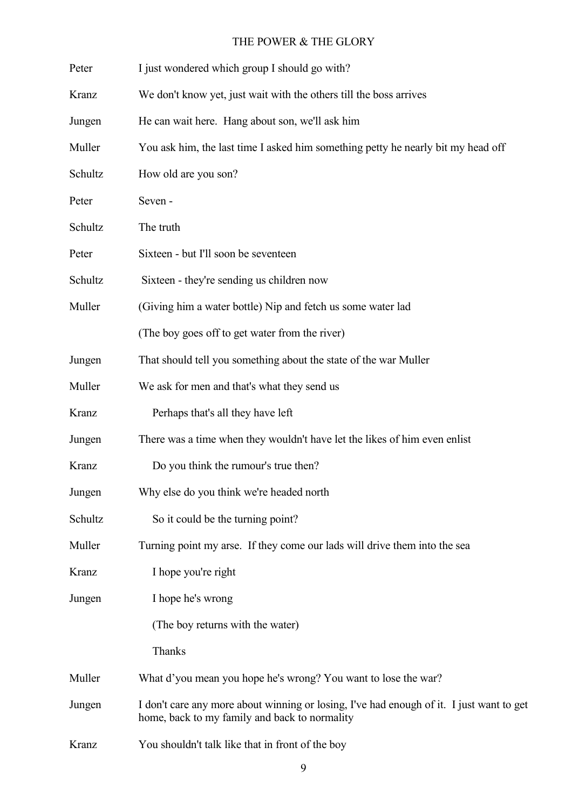| Peter   | I just wondered which group I should go with?                                                                                             |
|---------|-------------------------------------------------------------------------------------------------------------------------------------------|
| Kranz   | We don't know yet, just wait with the others till the boss arrives                                                                        |
| Jungen  | He can wait here. Hang about son, we'll ask him                                                                                           |
| Muller  | You ask him, the last time I asked him something petty he nearly bit my head off                                                          |
| Schultz | How old are you son?                                                                                                                      |
| Peter   | Seven-                                                                                                                                    |
| Schultz | The truth                                                                                                                                 |
| Peter   | Sixteen - but I'll soon be seventeen                                                                                                      |
| Schultz | Sixteen - they're sending us children now                                                                                                 |
| Muller  | (Giving him a water bottle) Nip and fetch us some water lad                                                                               |
|         | (The boy goes off to get water from the river)                                                                                            |
| Jungen  | That should tell you something about the state of the war Muller                                                                          |
| Muller  | We ask for men and that's what they send us                                                                                               |
| Kranz   | Perhaps that's all they have left                                                                                                         |
| Jungen  | There was a time when they wouldn't have let the likes of him even enlist                                                                 |
| Kranz   | Do you think the rumour's true then?                                                                                                      |
| Jungen  | Why else do you think we're headed north                                                                                                  |
| Schultz | So it could be the turning point?                                                                                                         |
| Muller  | Turning point my arse. If they come our lads will drive them into the sea                                                                 |
| Kranz   | I hope you're right                                                                                                                       |
| Jungen  | I hope he's wrong                                                                                                                         |
|         | (The boy returns with the water)                                                                                                          |
|         | Thanks                                                                                                                                    |
| Muller  | What d'you mean you hope he's wrong? You want to lose the war?                                                                            |
| Jungen  | I don't care any more about winning or losing, I've had enough of it. I just want to get<br>home, back to my family and back to normality |
| Kranz   | You shouldn't talk like that in front of the boy                                                                                          |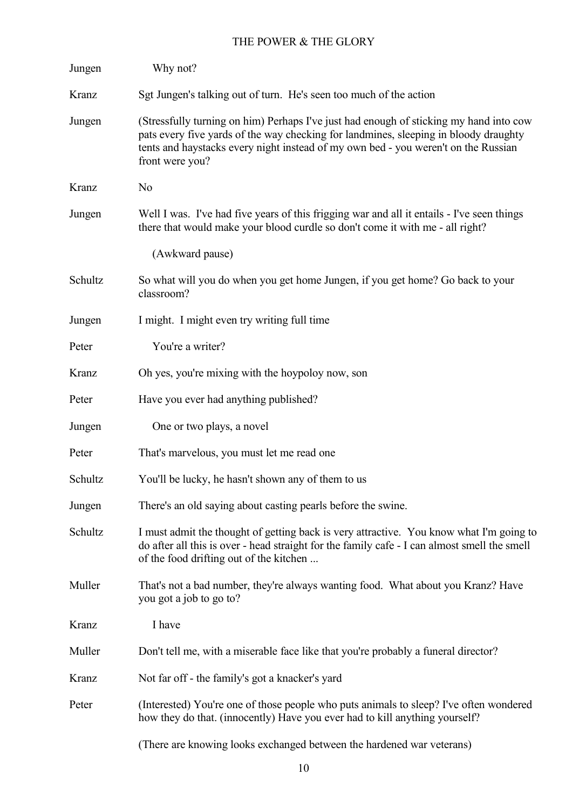| Jungen  | Why not?                                                                                                                                                                                                                                                                                |
|---------|-----------------------------------------------------------------------------------------------------------------------------------------------------------------------------------------------------------------------------------------------------------------------------------------|
| Kranz   | Sgt Jungen's talking out of turn. He's seen too much of the action                                                                                                                                                                                                                      |
| Jungen  | (Stressfully turning on him) Perhaps I've just had enough of sticking my hand into cow<br>pats every five yards of the way checking for landmines, sleeping in bloody draughty<br>tents and haystacks every night instead of my own bed - you weren't on the Russian<br>front were you? |
| Kranz   | N <sub>o</sub>                                                                                                                                                                                                                                                                          |
| Jungen  | Well I was. I've had five years of this frigging war and all it entails - I've seen things<br>there that would make your blood curdle so don't come it with me - all right?                                                                                                             |
|         | (Awkward pause)                                                                                                                                                                                                                                                                         |
| Schultz | So what will you do when you get home Jungen, if you get home? Go back to your<br>classroom?                                                                                                                                                                                            |
| Jungen  | I might. I might even try writing full time                                                                                                                                                                                                                                             |
| Peter   | You're a writer?                                                                                                                                                                                                                                                                        |
| Kranz   | Oh yes, you're mixing with the hoypoloy now, son                                                                                                                                                                                                                                        |
| Peter   | Have you ever had anything published?                                                                                                                                                                                                                                                   |
| Jungen  | One or two plays, a novel                                                                                                                                                                                                                                                               |
| Peter   | That's marvelous, you must let me read one                                                                                                                                                                                                                                              |
| Schultz | You'll be lucky, he hasn't shown any of them to us                                                                                                                                                                                                                                      |
| Jungen  | There's an old saying about casting pearls before the swine.                                                                                                                                                                                                                            |
| Schultz | I must admit the thought of getting back is very attractive. You know what I'm going to<br>do after all this is over - head straight for the family cafe - I can almost smell the smell<br>of the food drifting out of the kitchen                                                      |
| Muller  | That's not a bad number, they're always wanting food. What about you Kranz? Have<br>you got a job to go to?                                                                                                                                                                             |
| Kranz   | I have                                                                                                                                                                                                                                                                                  |
| Muller  | Don't tell me, with a miserable face like that you're probably a funeral director?                                                                                                                                                                                                      |
| Kranz   | Not far off - the family's got a knacker's yard                                                                                                                                                                                                                                         |
| Peter   | (Interested) You're one of those people who puts animals to sleep? I've often wondered<br>how they do that. (innocently) Have you ever had to kill anything yourself?                                                                                                                   |
|         | (There are knowing looks exchanged between the hardened war veterans)                                                                                                                                                                                                                   |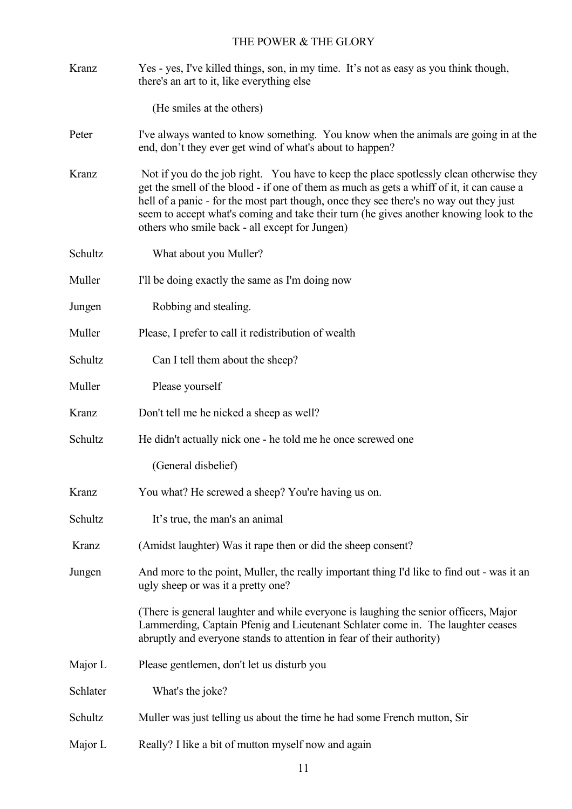Kranz Yes - yes, I've killed things, son, in my time. It's not as easy as you think though, there's an art to it, like everything else

(He smiles at the others)

- Peter I've always wanted to know something. You know when the animals are going in at the end, don't they ever get wind of what's about to happen?
- Kranz Not if you do the job right. You have to keep the place spotlessly clean otherwise they get the smell of the blood - if one of them as much as gets a whiff of it, it can cause a hell of a panic - for the most part though, once they see there's no way out they just seem to accept what's coming and take their turn (he gives another knowing look to the others who smile back - all except for Jungen)
- Schultz What about you Muller?
- Muller I'll be doing exactly the same as I'm doing now
- Jungen Robbing and stealing.
- Muller Please, I prefer to call it redistribution of wealth
- Schultz Can I tell them about the sheep?
- Muller Please yourself
- Kranz Don't tell me he nicked a sheep as well?
- Schultz He didn't actually nick one he told me he once screwed one

(General disbelief)

- Kranz You what? He screwed a sheep? You're having us on.
- Schultz It's true, the man's an animal
- Kranz (Amidst laughter) Was it rape then or did the sheep consent?
- Jungen And more to the point, Muller, the really important thing I'd like to find out was it an ugly sheep or was it a pretty one?

(There is general laughter and while everyone is laughing the senior officers, Major Lammerding, Captain Pfenig and Lieutenant Schlater come in. The laughter ceases abruptly and everyone stands to attention in fear of their authority)

Major L Please gentlemen, don't let us disturb you

Schlater What's the joke?

- Schultz Muller was just telling us about the time he had some French mutton, Sir
- Major L Really? I like a bit of mutton myself now and again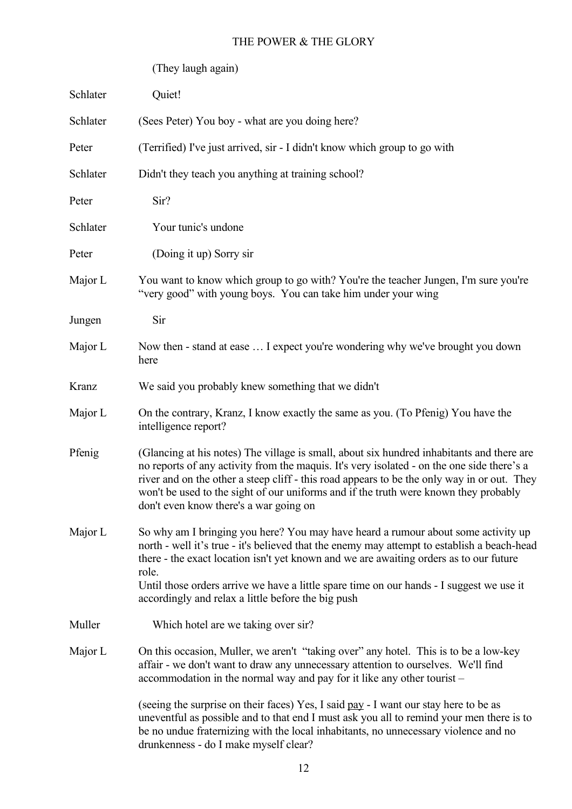|          | (They laugh again)                                                                                                                                                                                                                                                                                                                                                                                                                    |
|----------|---------------------------------------------------------------------------------------------------------------------------------------------------------------------------------------------------------------------------------------------------------------------------------------------------------------------------------------------------------------------------------------------------------------------------------------|
| Schlater | Quiet!                                                                                                                                                                                                                                                                                                                                                                                                                                |
| Schlater | (Sees Peter) You boy - what are you doing here?                                                                                                                                                                                                                                                                                                                                                                                       |
| Peter    | (Terrified) I've just arrived, sir - I didn't know which group to go with                                                                                                                                                                                                                                                                                                                                                             |
| Schlater | Didn't they teach you anything at training school?                                                                                                                                                                                                                                                                                                                                                                                    |
| Peter    | Sir?                                                                                                                                                                                                                                                                                                                                                                                                                                  |
| Schlater | Your tunic's undone                                                                                                                                                                                                                                                                                                                                                                                                                   |
| Peter    | (Doing it up) Sorry sir                                                                                                                                                                                                                                                                                                                                                                                                               |
| Major L  | You want to know which group to go with? You're the teacher Jungen, I'm sure you're<br>"very good" with young boys. You can take him under your wing                                                                                                                                                                                                                                                                                  |
| Jungen   | Sir                                                                                                                                                                                                                                                                                                                                                                                                                                   |
| Major L  | Now then - stand at ease  I expect you're wondering why we've brought you down<br>here                                                                                                                                                                                                                                                                                                                                                |
| Kranz    | We said you probably knew something that we didn't                                                                                                                                                                                                                                                                                                                                                                                    |
| Major L  | On the contrary, Kranz, I know exactly the same as you. (To Pfenig) You have the<br>intelligence report?                                                                                                                                                                                                                                                                                                                              |
| Pfenig   | (Glancing at his notes) The village is small, about six hundred inhabitants and there are<br>no reports of any activity from the maquis. It's very isolated - on the one side there's a<br>river and on the other a steep cliff - this road appears to be the only way in or out. They<br>won't be used to the sight of our uniforms and if the truth were known they probably<br>don't even know there's a war going on              |
| Major L  | So why am I bringing you here? You may have heard a rumour about some activity up<br>north - well it's true - it's believed that the enemy may attempt to establish a beach-head<br>there - the exact location isn't yet known and we are awaiting orders as to our future<br>role.<br>Until those orders arrive we have a little spare time on our hands - I suggest we use it<br>accordingly and relax a little before the big push |
| Muller   | Which hotel are we taking over sir?                                                                                                                                                                                                                                                                                                                                                                                                   |
| Major L  | On this occasion, Muller, we aren't "taking over" any hotel. This is to be a low-key<br>affair - we don't want to draw any unnecessary attention to ourselves. We'll find<br>accommodation in the normal way and pay for it like any other tourist -                                                                                                                                                                                  |
|          | (seeing the surprise on their faces) Yes, I said pay - I want our stay here to be as<br>uneventful as possible and to that end I must ask you all to remind your men there is to<br>be no undue fraternizing with the local inhabitants, no unnecessary violence and no<br>drunkenness - do I make myself clear?                                                                                                                      |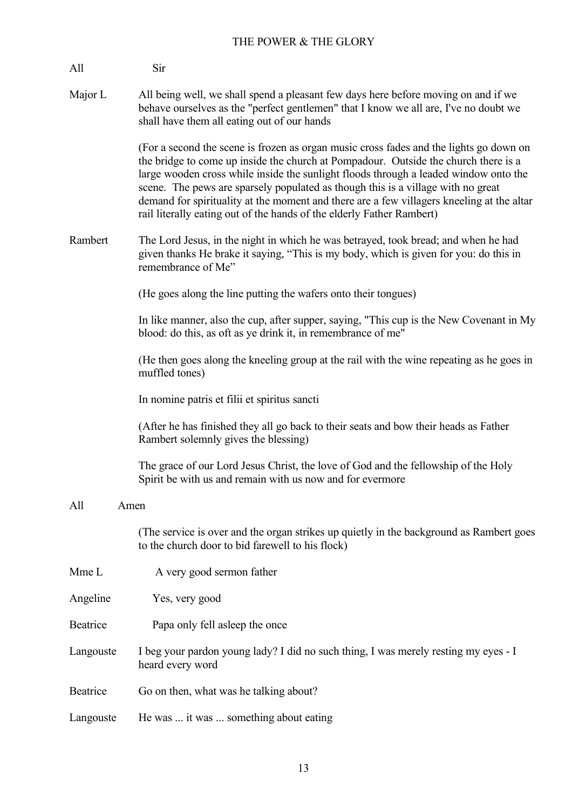| All       | Sir                                                                                                                                                                                                                                                                                                                                                                                                                                                                                                                             |
|-----------|---------------------------------------------------------------------------------------------------------------------------------------------------------------------------------------------------------------------------------------------------------------------------------------------------------------------------------------------------------------------------------------------------------------------------------------------------------------------------------------------------------------------------------|
| Major L   | All being well, we shall spend a pleasant few days here before moving on and if we<br>behave ourselves as the "perfect gentlemen" that I know we all are, I've no doubt we<br>shall have them all eating out of our hands                                                                                                                                                                                                                                                                                                       |
|           | (For a second the scene is frozen as organ music cross fades and the lights go down on<br>the bridge to come up inside the church at Pompadour. Outside the church there is a<br>large wooden cross while inside the sunlight floods through a leaded window onto the<br>scene. The pews are sparsely populated as though this is a village with no great<br>demand for spirituality at the moment and there are a few villagers kneeling at the altar<br>rail literally eating out of the hands of the elderly Father Rambert) |
| Rambert   | The Lord Jesus, in the night in which he was betrayed, took bread; and when he had<br>given thanks He brake it saying, "This is my body, which is given for you: do this in<br>remembrance of Me"                                                                                                                                                                                                                                                                                                                               |
|           | (He goes along the line putting the wafers onto their tongues)                                                                                                                                                                                                                                                                                                                                                                                                                                                                  |
|           | In like manner, also the cup, after supper, saying, "This cup is the New Covenant in My<br>blood: do this, as oft as ye drink it, in remembrance of me"                                                                                                                                                                                                                                                                                                                                                                         |
|           | (He then goes along the kneeling group at the rail with the wine repeating as he goes in<br>muffled tones)                                                                                                                                                                                                                                                                                                                                                                                                                      |
|           | In nomine patris et filii et spiritus sancti                                                                                                                                                                                                                                                                                                                                                                                                                                                                                    |
|           | (After he has finished they all go back to their seats and bow their heads as Father<br>Rambert solemnly gives the blessing)                                                                                                                                                                                                                                                                                                                                                                                                    |
|           | The grace of our Lord Jesus Christ, the love of God and the fellowship of the Holy<br>Spirit be with us and remain with us now and for evermore                                                                                                                                                                                                                                                                                                                                                                                 |
| All       | Amen                                                                                                                                                                                                                                                                                                                                                                                                                                                                                                                            |
|           | (The service is over and the organ strikes up quietly in the background as Rambert goes<br>to the church door to bid farewell to his flock)                                                                                                                                                                                                                                                                                                                                                                                     |
| Mme L     | A very good sermon father                                                                                                                                                                                                                                                                                                                                                                                                                                                                                                       |
| Angeline  | Yes, very good                                                                                                                                                                                                                                                                                                                                                                                                                                                                                                                  |
| Beatrice  | Papa only fell asleep the once                                                                                                                                                                                                                                                                                                                                                                                                                                                                                                  |
| Langouste | I beg your pardon young lady? I did no such thing, I was merely resting my eyes - I<br>heard every word                                                                                                                                                                                                                                                                                                                                                                                                                         |
| Beatrice  | Go on then, what was he talking about?                                                                                                                                                                                                                                                                                                                                                                                                                                                                                          |
| Langouste | He was  it was  something about eating                                                                                                                                                                                                                                                                                                                                                                                                                                                                                          |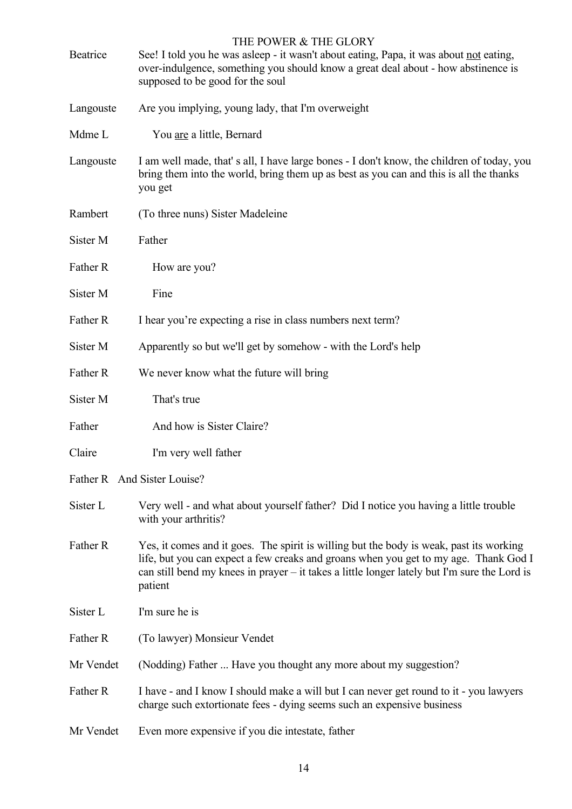| Beatrice  | THE POWER & THE GLORY<br>See! I told you he was asleep - it wasn't about eating, Papa, it was about not eating,<br>over-indulgence, something you should know a great deal about - how abstinence is<br>supposed to be good for the soul                                                   |
|-----------|--------------------------------------------------------------------------------------------------------------------------------------------------------------------------------------------------------------------------------------------------------------------------------------------|
| Langouste | Are you implying, young lady, that I'm overweight                                                                                                                                                                                                                                          |
| Mdme L    | You are a little, Bernard                                                                                                                                                                                                                                                                  |
| Langouste | I am well made, that's all, I have large bones - I don't know, the children of today, you<br>bring them into the world, bring them up as best as you can and this is all the thanks<br>you get                                                                                             |
| Rambert   | (To three nuns) Sister Madeleine                                                                                                                                                                                                                                                           |
| Sister M  | Father                                                                                                                                                                                                                                                                                     |
| Father R  | How are you?                                                                                                                                                                                                                                                                               |
| Sister M  | Fine                                                                                                                                                                                                                                                                                       |
| Father R  | I hear you're expecting a rise in class numbers next term?                                                                                                                                                                                                                                 |
| Sister M  | Apparently so but we'll get by somehow - with the Lord's help                                                                                                                                                                                                                              |
| Father R  | We never know what the future will bring                                                                                                                                                                                                                                                   |
| Sister M  | That's true                                                                                                                                                                                                                                                                                |
| Father    | And how is Sister Claire?                                                                                                                                                                                                                                                                  |
| Claire    | I'm very well father                                                                                                                                                                                                                                                                       |
|           | Father R And Sister Louise?                                                                                                                                                                                                                                                                |
| Sister L  | Very well - and what about yourself father? Did I notice you having a little trouble<br>with your arthritis?                                                                                                                                                                               |
| Father R  | Yes, it comes and it goes. The spirit is willing but the body is weak, past its working<br>life, but you can expect a few creaks and groans when you get to my age. Thank God I<br>can still bend my knees in prayer – it takes a little longer lately but I'm sure the Lord is<br>patient |
| Sister L  | I'm sure he is                                                                                                                                                                                                                                                                             |
| Father R  | (To lawyer) Monsieur Vendet                                                                                                                                                                                                                                                                |
| Mr Vendet | (Nodding) Father  Have you thought any more about my suggestion?                                                                                                                                                                                                                           |
| Father R  | I have - and I know I should make a will but I can never get round to it - you lawyers<br>charge such extortionate fees - dying seems such an expensive business                                                                                                                           |
| Mr Vendet | Even more expensive if you die intestate, father                                                                                                                                                                                                                                           |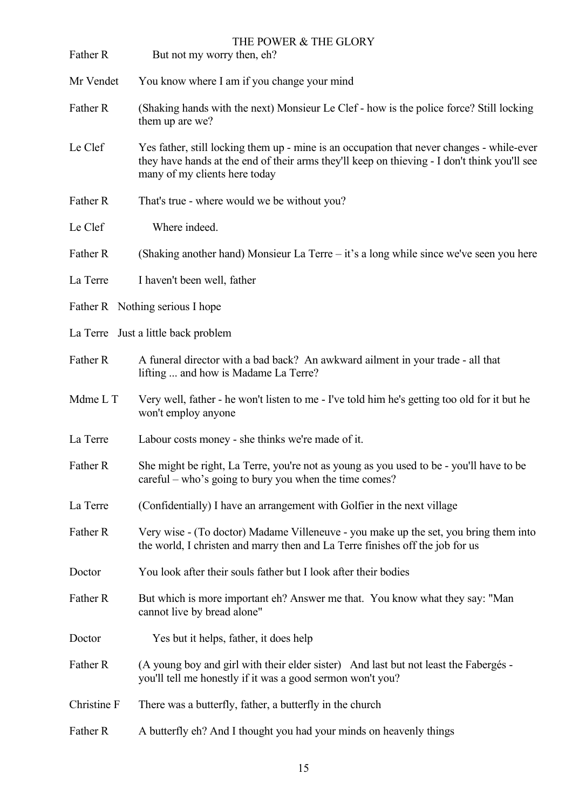| Father R    | THE POWER & THE GLORY<br>But not my worry then, eh?                                                                                                                                                                        |
|-------------|----------------------------------------------------------------------------------------------------------------------------------------------------------------------------------------------------------------------------|
| Mr Vendet   | You know where I am if you change your mind                                                                                                                                                                                |
| Father R    | (Shaking hands with the next) Monsieur Le Clef - how is the police force? Still locking<br>them up are we?                                                                                                                 |
| Le Clef     | Yes father, still locking them up - mine is an occupation that never changes - while-ever<br>they have hands at the end of their arms they'll keep on thieving - I don't think you'll see<br>many of my clients here today |
| Father R    | That's true - where would we be without you?                                                                                                                                                                               |
| Le Clef     | Where indeed.                                                                                                                                                                                                              |
| Father R    | (Shaking another hand) Monsieur La Terre – it's a long while since we've seen you here                                                                                                                                     |
| La Terre    | I haven't been well, father                                                                                                                                                                                                |
|             | Father R Nothing serious I hope                                                                                                                                                                                            |
|             | La Terre Just a little back problem                                                                                                                                                                                        |
| Father R    | A funeral director with a bad back? An awkward ailment in your trade - all that<br>lifting  and how is Madame La Terre?                                                                                                    |
| Mdme L T    | Very well, father - he won't listen to me - I've told him he's getting too old for it but he<br>won't employ anyone                                                                                                        |
| La Terre    | Labour costs money - she thinks we're made of it.                                                                                                                                                                          |
| Father R    | She might be right, La Terre, you're not as young as you used to be - you'll have to be<br>careful – who's going to bury you when the time comes?                                                                          |
| La Terre    | (Confidentially) I have an arrangement with Golfier in the next village                                                                                                                                                    |
| Father R    | Very wise - (To doctor) Madame Villeneuve - you make up the set, you bring them into<br>the world, I christen and marry then and La Terre finishes off the job for us                                                      |
| Doctor      | You look after their souls father but I look after their bodies                                                                                                                                                            |
| Father R    | But which is more important eh? Answer me that. You know what they say: "Man<br>cannot live by bread alone"                                                                                                                |
| Doctor      | Yes but it helps, father, it does help                                                                                                                                                                                     |
| Father R    | (A young boy and girl with their elder sister) And last but not least the Fabergés -<br>you'll tell me honestly if it was a good sermon won't you?                                                                         |
| Christine F | There was a butterfly, father, a butterfly in the church                                                                                                                                                                   |
| Father R    | A butterfly eh? And I thought you had your minds on heavenly things                                                                                                                                                        |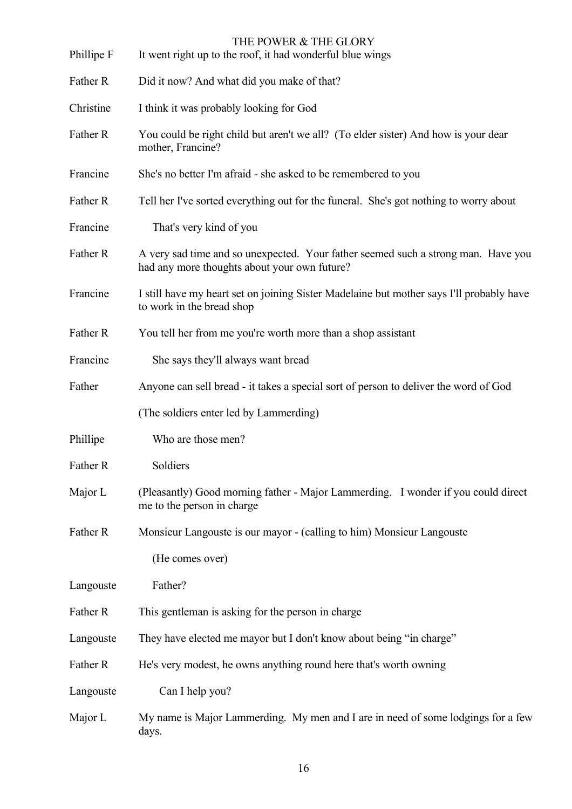| Phillipe F | THE POWER & THE GLORY<br>It went right up to the roof, it had wonderful blue wings                                                |
|------------|-----------------------------------------------------------------------------------------------------------------------------------|
| Father R   | Did it now? And what did you make of that?                                                                                        |
| Christine  | I think it was probably looking for God                                                                                           |
| Father R   | You could be right child but aren't we all? (To elder sister) And how is your dear<br>mother, Francine?                           |
| Francine   | She's no better I'm afraid - she asked to be remembered to you                                                                    |
| Father R   | Tell her I've sorted everything out for the funeral. She's got nothing to worry about                                             |
| Francine   | That's very kind of you                                                                                                           |
| Father R   | A very sad time and so unexpected. Your father seemed such a strong man. Have you<br>had any more thoughts about your own future? |
| Francine   | I still have my heart set on joining Sister Madelaine but mother says I'll probably have<br>to work in the bread shop             |
| Father R   | You tell her from me you're worth more than a shop assistant                                                                      |
| Francine   | She says they'll always want bread                                                                                                |
| Father     | Anyone can sell bread - it takes a special sort of person to deliver the word of God                                              |
|            | (The soldiers enter led by Lammerding)                                                                                            |
| Phillipe   | Who are those men?                                                                                                                |
| Father R   | Soldiers                                                                                                                          |
| Major L    | (Pleasantly) Good morning father - Major Lammerding. I wonder if you could direct<br>me to the person in charge                   |
| Father R   | Monsieur Langouste is our mayor - (calling to him) Monsieur Langouste                                                             |
|            | (He comes over)                                                                                                                   |
| Langouste  | Father?                                                                                                                           |
| Father R   | This gentleman is asking for the person in charge                                                                                 |
| Langouste  | They have elected me mayor but I don't know about being "in charge"                                                               |
| Father R   | He's very modest, he owns anything round here that's worth owning                                                                 |
| Langouste  | Can I help you?                                                                                                                   |
| Major L    | My name is Major Lammerding. My men and I are in need of some lodgings for a few<br>days.                                         |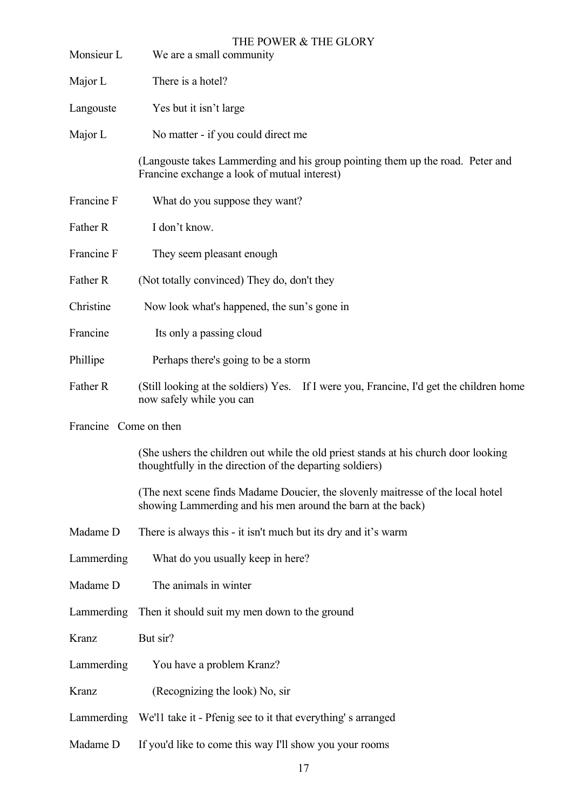| Monsieur L            | THE POWER & THE GLORY<br>We are a small community                                                                                               |
|-----------------------|-------------------------------------------------------------------------------------------------------------------------------------------------|
| Major L               | There is a hotel?                                                                                                                               |
| Langouste             | Yes but it isn't large                                                                                                                          |
| Major L               | No matter - if you could direct me                                                                                                              |
|                       | (Langouste takes Lammerding and his group pointing them up the road. Peter and<br>Francine exchange a look of mutual interest)                  |
| Francine F            | What do you suppose they want?                                                                                                                  |
| Father R              | I don't know.                                                                                                                                   |
| Francine F            | They seem pleasant enough                                                                                                                       |
| Father R              | (Not totally convinced) They do, don't they                                                                                                     |
| Christine             | Now look what's happened, the sun's gone in                                                                                                     |
| Francine              | Its only a passing cloud                                                                                                                        |
| Phillipe              | Perhaps there's going to be a storm                                                                                                             |
| Father R              | (Still looking at the soldiers) Yes. If I were you, Francine, I'd get the children home<br>now safely while you can                             |
| Francine Come on then |                                                                                                                                                 |
|                       | (She ushers the children out while the old priest stands at his church door looking<br>thoughtfully in the direction of the departing soldiers) |
|                       | (The next scene finds Madame Doucier, the slovenly maitresse of the local hotel<br>showing Lammerding and his men around the barn at the back)  |
| Madame D              | There is always this - it isn't much but its dry and it's warm                                                                                  |
| Lammerding            | What do you usually keep in here?                                                                                                               |
| Madame D              | The animals in winter                                                                                                                           |
| Lammerding            | Then it should suit my men down to the ground                                                                                                   |
| Kranz                 | But sir?                                                                                                                                        |
| Lammerding            | You have a problem Kranz?                                                                                                                       |
| Kranz                 | (Recognizing the look) No, sir                                                                                                                  |
|                       | Lammerding We'll take it - Pfenig see to it that everything's arranged                                                                          |
| Madame D              | If you'd like to come this way I'll show you your rooms                                                                                         |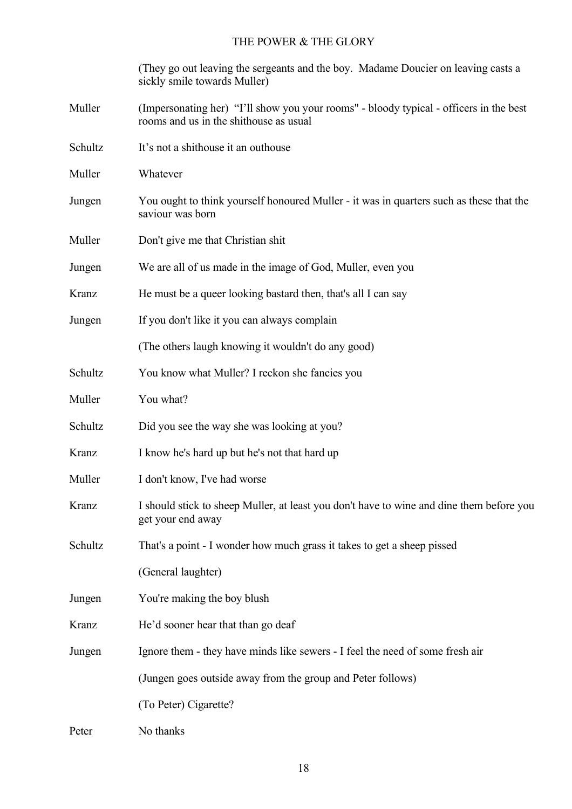(They go out leaving the sergeants and the boy. Madame Doucier on leaving casts a sickly smile towards Muller)

- Muller (Impersonating her) "I'll show you your rooms" bloody typical officers in the best rooms and us in the shithouse as usual
- Schultz It's not a shithouse it an outhouse
- Muller Whatever
- Jungen You ought to think yourself honoured Muller it was in quarters such as these that the saviour was born
- Muller Don't give me that Christian shit
- Jungen We are all of us made in the image of God, Muller, even you
- Kranz He must be a queer looking bastard then, that's all I can say
- Jungen If you don't like it you can always complain

(The others laugh knowing it wouldn't do any good)

- Schultz You know what Muller? I reckon she fancies you
- Muller You what?
- Schultz Did you see the way she was looking at you?
- Kranz I know he's hard up but he's not that hard up
- Muller I don't know, I've had worse
- Kranz I should stick to sheep Muller, at least you don't have to wine and dine them before you get your end away
- Schultz That's a point I wonder how much grass it takes to get a sheep pissed

(General laughter)

- Jungen You're making the boy blush
- Kranz He'd sooner hear that than go deaf
- Jungen Ignore them they have minds like sewers I feel the need of some fresh air

(Jungen goes outside away from the group and Peter follows)

(To Peter) Cigarette?

Peter No thanks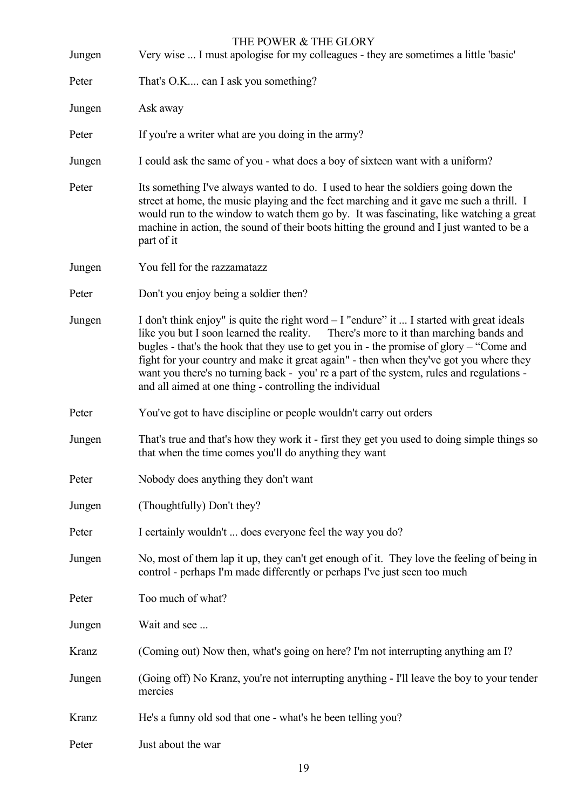| Jungen | THE POWER & THE GLORY<br>Very wise  I must apologise for my colleagues - they are sometimes a little 'basic'                                                                                                                                                                                                                                                                                                                                                                                                                     |
|--------|----------------------------------------------------------------------------------------------------------------------------------------------------------------------------------------------------------------------------------------------------------------------------------------------------------------------------------------------------------------------------------------------------------------------------------------------------------------------------------------------------------------------------------|
| Peter  | That's O.K can I ask you something?                                                                                                                                                                                                                                                                                                                                                                                                                                                                                              |
| Jungen | Ask away                                                                                                                                                                                                                                                                                                                                                                                                                                                                                                                         |
| Peter  | If you're a writer what are you doing in the army?                                                                                                                                                                                                                                                                                                                                                                                                                                                                               |
| Jungen | I could ask the same of you - what does a boy of sixteen want with a uniform?                                                                                                                                                                                                                                                                                                                                                                                                                                                    |
| Peter  | Its something I've always wanted to do. I used to hear the soldiers going down the<br>street at home, the music playing and the feet marching and it gave me such a thrill. I<br>would run to the window to watch them go by. It was fascinating, like watching a great<br>machine in action, the sound of their boots hitting the ground and I just wanted to be a<br>part of it                                                                                                                                                |
| Jungen | You fell for the razzamatazz                                                                                                                                                                                                                                                                                                                                                                                                                                                                                                     |
| Peter  | Don't you enjoy being a soldier then?                                                                                                                                                                                                                                                                                                                                                                                                                                                                                            |
| Jungen | I don't think enjoy" is quite the right word $-1$ "endure" it  I started with great ideals<br>like you but I soon learned the reality.<br>There's more to it than marching bands and<br>bugles - that's the hook that they use to get you in - the promise of glory – "Come and<br>fight for your country and make it great again" - then when they've got you where they<br>want you there's no turning back - you' re a part of the system, rules and regulations -<br>and all aimed at one thing - controlling the individual |
| Peter  | You've got to have discipline or people wouldn't carry out orders                                                                                                                                                                                                                                                                                                                                                                                                                                                                |
| Jungen | That's true and that's how they work it - first they get you used to doing simple things so<br>that when the time comes you'll do anything they want                                                                                                                                                                                                                                                                                                                                                                             |
| Peter  | Nobody does anything they don't want                                                                                                                                                                                                                                                                                                                                                                                                                                                                                             |
| Jungen | (Thoughtfully) Don't they?                                                                                                                                                                                                                                                                                                                                                                                                                                                                                                       |
| Peter  | I certainly wouldn't  does everyone feel the way you do?                                                                                                                                                                                                                                                                                                                                                                                                                                                                         |
| Jungen | No, most of them lap it up, they can't get enough of it. They love the feeling of being in<br>control - perhaps I'm made differently or perhaps I've just seen too much                                                                                                                                                                                                                                                                                                                                                          |
| Peter  | Too much of what?                                                                                                                                                                                                                                                                                                                                                                                                                                                                                                                |
| Jungen | Wait and see                                                                                                                                                                                                                                                                                                                                                                                                                                                                                                                     |
| Kranz  | (Coming out) Now then, what's going on here? I'm not interrupting anything am I?                                                                                                                                                                                                                                                                                                                                                                                                                                                 |
| Jungen | (Going off) No Kranz, you're not interrupting anything - I'll leave the boy to your tender<br>mercies                                                                                                                                                                                                                                                                                                                                                                                                                            |
| Kranz  | He's a funny old sod that one - what's he been telling you?                                                                                                                                                                                                                                                                                                                                                                                                                                                                      |
| Peter  | Just about the war                                                                                                                                                                                                                                                                                                                                                                                                                                                                                                               |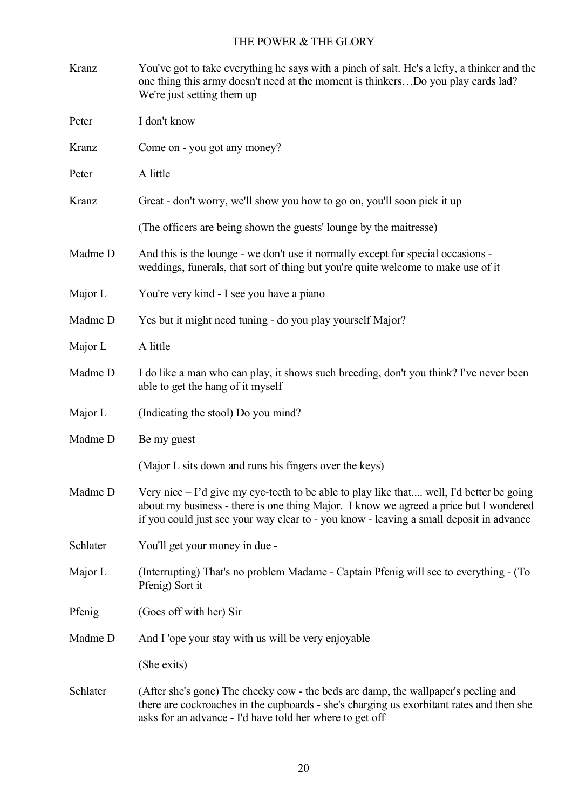| Kranz    | You've got to take everything he says with a pinch of salt. He's a lefty, a thinker and the<br>one thing this army doesn't need at the moment is thinkersDo you play cards lad?<br>We're just setting them up                                                                |
|----------|------------------------------------------------------------------------------------------------------------------------------------------------------------------------------------------------------------------------------------------------------------------------------|
| Peter    | I don't know                                                                                                                                                                                                                                                                 |
| Kranz    | Come on - you got any money?                                                                                                                                                                                                                                                 |
| Peter    | A little                                                                                                                                                                                                                                                                     |
| Kranz    | Great - don't worry, we'll show you how to go on, you'll soon pick it up                                                                                                                                                                                                     |
|          | (The officers are being shown the guests' lounge by the maitresse)                                                                                                                                                                                                           |
| Madme D  | And this is the lounge - we don't use it normally except for special occasions -<br>weddings, funerals, that sort of thing but you're quite welcome to make use of it                                                                                                        |
| Major L  | You're very kind - I see you have a piano                                                                                                                                                                                                                                    |
| Madme D  | Yes but it might need tuning - do you play yourself Major?                                                                                                                                                                                                                   |
| Major L  | A little                                                                                                                                                                                                                                                                     |
| Madme D  | I do like a man who can play, it shows such breeding, don't you think? I've never been<br>able to get the hang of it myself                                                                                                                                                  |
| Major L  | (Indicating the stool) Do you mind?                                                                                                                                                                                                                                          |
| Madme D  | Be my guest                                                                                                                                                                                                                                                                  |
|          | (Major L sits down and runs his fingers over the keys)                                                                                                                                                                                                                       |
| Madme D  | Very nice - I'd give my eye-teeth to be able to play like that well, I'd better be going<br>about my business - there is one thing Major. I know we agreed a price but I wondered<br>if you could just see your way clear to - you know - leaving a small deposit in advance |
| Schlater | You'll get your money in due -                                                                                                                                                                                                                                               |
| Major L  | (Interrupting) That's no problem Madame - Captain Pfenig will see to everything - (To<br>Pfenig) Sort it                                                                                                                                                                     |
| Pfenig   | (Goes off with her) Sir                                                                                                                                                                                                                                                      |
| Madme D  | And I 'ope your stay with us will be very enjoyable                                                                                                                                                                                                                          |
|          | (She exits)                                                                                                                                                                                                                                                                  |
| Schlater | (After she's gone) The cheeky cow - the beds are damp, the wallpaper's peeling and<br>there are cockroaches in the cupboards - she's charging us exorbitant rates and then she<br>asks for an advance - I'd have told her where to get off                                   |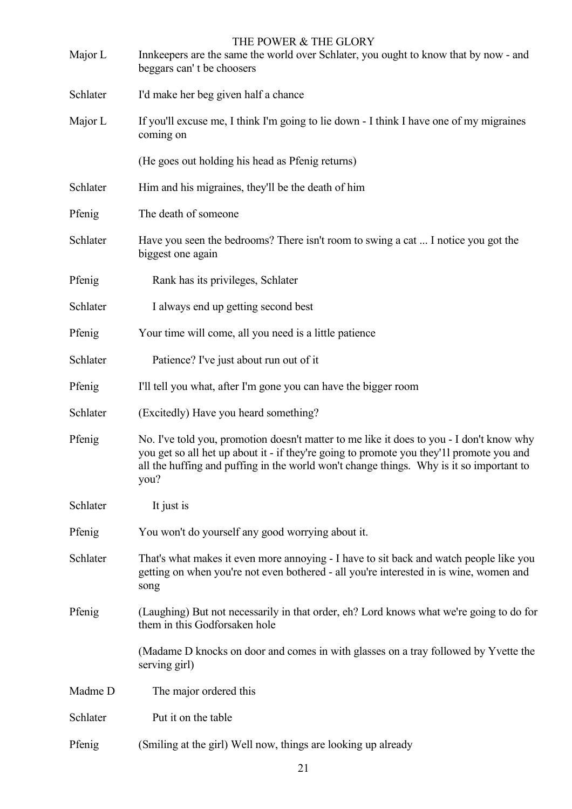| Major L  | THE POWER & THE GLORY<br>Innkeepers are the same the world over Schlater, you ought to know that by now - and<br>beggars can't be choosers                                                                                                                                              |
|----------|-----------------------------------------------------------------------------------------------------------------------------------------------------------------------------------------------------------------------------------------------------------------------------------------|
| Schlater | I'd make her beg given half a chance                                                                                                                                                                                                                                                    |
| Major L  | If you'll excuse me, I think I'm going to lie down - I think I have one of my migraines<br>coming on                                                                                                                                                                                    |
|          | (He goes out holding his head as Pfenig returns)                                                                                                                                                                                                                                        |
| Schlater | Him and his migraines, they'll be the death of him                                                                                                                                                                                                                                      |
| Pfenig   | The death of someone                                                                                                                                                                                                                                                                    |
| Schlater | Have you seen the bedrooms? There isn't room to swing a cat  I notice you got the<br>biggest one again                                                                                                                                                                                  |
| Pfenig   | Rank has its privileges, Schlater                                                                                                                                                                                                                                                       |
| Schlater | I always end up getting second best                                                                                                                                                                                                                                                     |
| Pfenig   | Your time will come, all you need is a little patience                                                                                                                                                                                                                                  |
| Schlater | Patience? I've just about run out of it                                                                                                                                                                                                                                                 |
| Pfenig   | I'll tell you what, after I'm gone you can have the bigger room                                                                                                                                                                                                                         |
| Schlater | (Excitedly) Have you heard something?                                                                                                                                                                                                                                                   |
| Pfenig   | No. I've told you, promotion doesn't matter to me like it does to you - I don't know why<br>you get so all het up about it - if they're going to promote you they'll promote you and<br>all the huffing and puffing in the world won't change things. Why is it so important to<br>you? |
| Schlater | It just is                                                                                                                                                                                                                                                                              |
| Pfenig   | You won't do yourself any good worrying about it.                                                                                                                                                                                                                                       |
| Schlater | That's what makes it even more annoying - I have to sit back and watch people like you<br>getting on when you're not even bothered - all you're interested in is wine, women and<br>song                                                                                                |
| Pfenig   | (Laughing) But not necessarily in that order, eh? Lord knows what we're going to do for<br>them in this Godforsaken hole                                                                                                                                                                |
|          | (Madame D knocks on door and comes in with glasses on a tray followed by Yvette the<br>serving girl)                                                                                                                                                                                    |
| Madme D  | The major ordered this                                                                                                                                                                                                                                                                  |
| Schlater | Put it on the table                                                                                                                                                                                                                                                                     |
| Pfenig   | (Smiling at the girl) Well now, things are looking up already                                                                                                                                                                                                                           |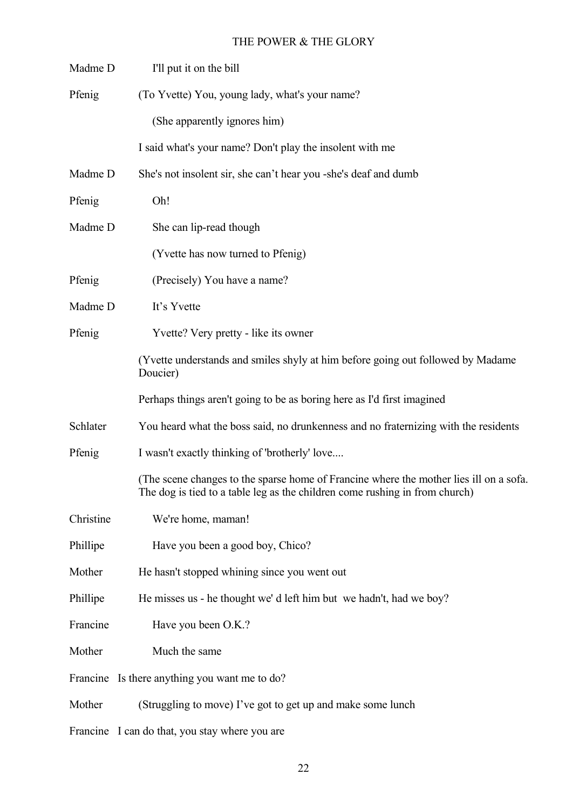| Madme D   | I'll put it on the bill                                                                                                                                               |
|-----------|-----------------------------------------------------------------------------------------------------------------------------------------------------------------------|
| Pfenig    | (To Yvette) You, young lady, what's your name?                                                                                                                        |
|           | (She apparently ignores him)                                                                                                                                          |
|           | I said what's your name? Don't play the insolent with me                                                                                                              |
| Madme D   | She's not insolent sir, she can't hear you -she's deaf and dumb                                                                                                       |
| Pfenig    | Oh!                                                                                                                                                                   |
| Madme D   | She can lip-read though                                                                                                                                               |
|           | (Yvette has now turned to Pfenig)                                                                                                                                     |
| Pfenig    | (Precisely) You have a name?                                                                                                                                          |
| Madme D   | It's Yvette                                                                                                                                                           |
| Pfenig    | Yvette? Very pretty - like its owner                                                                                                                                  |
|           | (Yvette understands and smiles shyly at him before going out followed by Madame<br>Doucier)                                                                           |
|           | Perhaps things aren't going to be as boring here as I'd first imagined                                                                                                |
| Schlater  | You heard what the boss said, no drunkenness and no fraternizing with the residents                                                                                   |
| Pfenig    | I wasn't exactly thinking of 'brotherly' love                                                                                                                         |
|           | (The scene changes to the sparse home of Francine where the mother lies ill on a sofa.<br>The dog is tied to a table leg as the children come rushing in from church) |
| Christine | We're home, maman!                                                                                                                                                    |
| Phillipe  | Have you been a good boy, Chico?                                                                                                                                      |
| Mother    | He hasn't stopped whining since you went out                                                                                                                          |
| Phillipe  | He misses us - he thought we' d left him but we hadn't, had we boy?                                                                                                   |
| Francine  | Have you been O.K.?                                                                                                                                                   |
| Mother    | Much the same                                                                                                                                                         |
|           | Francine Is there anything you want me to do?                                                                                                                         |
| Mother    | (Struggling to move) I've got to get up and make some lunch                                                                                                           |
|           | Francine I can do that, you stay where you are                                                                                                                        |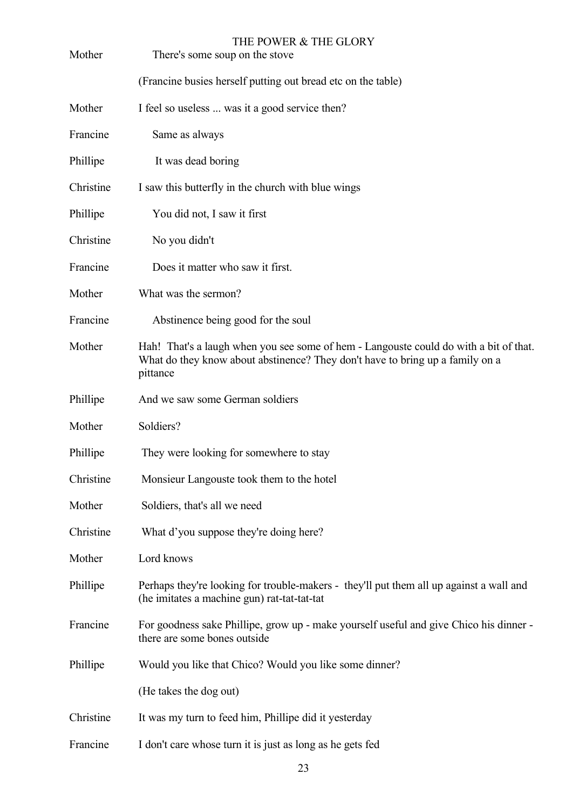| Mother    | THE POWER & THE GLORY<br>There's some soup on the stove                                                                                                                            |
|-----------|------------------------------------------------------------------------------------------------------------------------------------------------------------------------------------|
|           | (Francine busies herself putting out bread etc on the table)                                                                                                                       |
| Mother    | I feel so useless  was it a good service then?                                                                                                                                     |
| Francine  | Same as always                                                                                                                                                                     |
| Phillipe  | It was dead boring                                                                                                                                                                 |
| Christine | I saw this butterfly in the church with blue wings                                                                                                                                 |
| Phillipe  | You did not, I saw it first                                                                                                                                                        |
| Christine | No you didn't                                                                                                                                                                      |
| Francine  | Does it matter who saw it first.                                                                                                                                                   |
| Mother    | What was the sermon?                                                                                                                                                               |
| Francine  | Abstinence being good for the soul                                                                                                                                                 |
| Mother    | Hah! That's a laugh when you see some of hem - Langouste could do with a bit of that.<br>What do they know about abstinence? They don't have to bring up a family on a<br>pittance |
| Phillipe  | And we saw some German soldiers                                                                                                                                                    |
| Mother    | Soldiers?                                                                                                                                                                          |
| Phillipe  | They were looking for somewhere to stay                                                                                                                                            |
| Christine | Monsieur Langouste took them to the hotel                                                                                                                                          |
| Mother    | Soldiers, that's all we need                                                                                                                                                       |
| Christine | What d'you suppose they're doing here?                                                                                                                                             |
| Mother    | Lord knows                                                                                                                                                                         |
| Phillipe  | Perhaps they're looking for trouble-makers - they'll put them all up against a wall and<br>(he imitates a machine gun) rat-tat-tat-tat                                             |
| Francine  | For goodness sake Phillipe, grow up - make yourself useful and give Chico his dinner -<br>there are some bones outside                                                             |
| Phillipe  | Would you like that Chico? Would you like some dinner?                                                                                                                             |
|           | (He takes the dog out)                                                                                                                                                             |
| Christine | It was my turn to feed him, Phillipe did it yesterday                                                                                                                              |
| Francine  | I don't care whose turn it is just as long as he gets fed                                                                                                                          |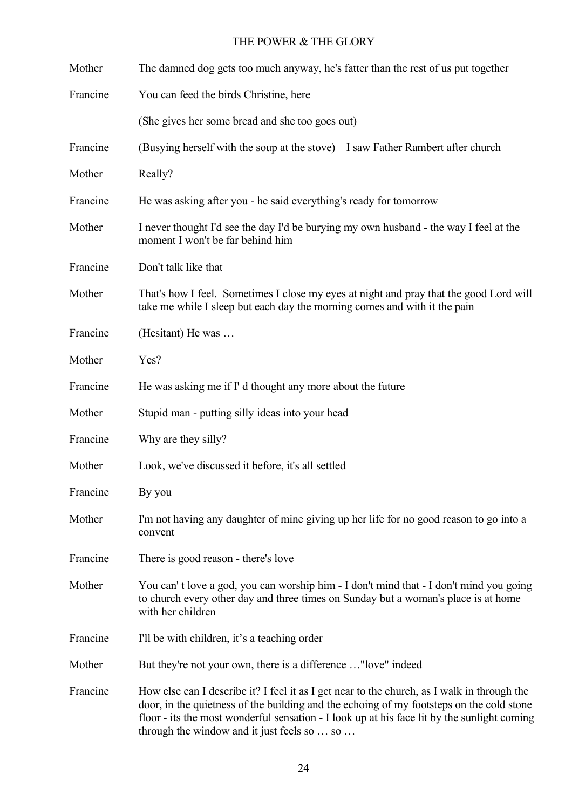| Mother   | The damned dog gets too much anyway, he's fatter than the rest of us put together                                                                                                                                                                                                                                                     |
|----------|---------------------------------------------------------------------------------------------------------------------------------------------------------------------------------------------------------------------------------------------------------------------------------------------------------------------------------------|
| Francine | You can feed the birds Christine, here                                                                                                                                                                                                                                                                                                |
|          | (She gives her some bread and she too goes out)                                                                                                                                                                                                                                                                                       |
| Francine | (Busying herself with the soup at the stove) I saw Father Rambert after church                                                                                                                                                                                                                                                        |
| Mother   | Really?                                                                                                                                                                                                                                                                                                                               |
| Francine | He was asking after you - he said everything's ready for tomorrow                                                                                                                                                                                                                                                                     |
| Mother   | I never thought I'd see the day I'd be burying my own husband - the way I feel at the<br>moment I won't be far behind him                                                                                                                                                                                                             |
| Francine | Don't talk like that                                                                                                                                                                                                                                                                                                                  |
| Mother   | That's how I feel. Sometimes I close my eyes at night and pray that the good Lord will<br>take me while I sleep but each day the morning comes and with it the pain                                                                                                                                                                   |
| Francine | (Hesitant) He was                                                                                                                                                                                                                                                                                                                     |
| Mother   | Yes?                                                                                                                                                                                                                                                                                                                                  |
| Francine | He was asking me if I' d thought any more about the future                                                                                                                                                                                                                                                                            |
| Mother   | Stupid man - putting silly ideas into your head                                                                                                                                                                                                                                                                                       |
| Francine | Why are they silly?                                                                                                                                                                                                                                                                                                                   |
| Mother   | Look, we've discussed it before, it's all settled                                                                                                                                                                                                                                                                                     |
| Francine | By you                                                                                                                                                                                                                                                                                                                                |
| Mother   | I'm not having any daughter of mine giving up her life for no good reason to go into a<br>convent                                                                                                                                                                                                                                     |
| Francine | There is good reason - there's love                                                                                                                                                                                                                                                                                                   |
| Mother   | You can't love a god, you can worship him - I don't mind that - I don't mind you going<br>to church every other day and three times on Sunday but a woman's place is at home<br>with her children                                                                                                                                     |
| Francine | I'll be with children, it's a teaching order                                                                                                                                                                                                                                                                                          |
| Mother   | But they're not your own, there is a difference "love" indeed                                                                                                                                                                                                                                                                         |
| Francine | How else can I describe it? I feel it as I get near to the church, as I walk in through the<br>door, in the quietness of the building and the echoing of my footsteps on the cold stone<br>floor - its the most wonderful sensation - I look up at his face lit by the sunlight coming<br>through the window and it just feels so  so |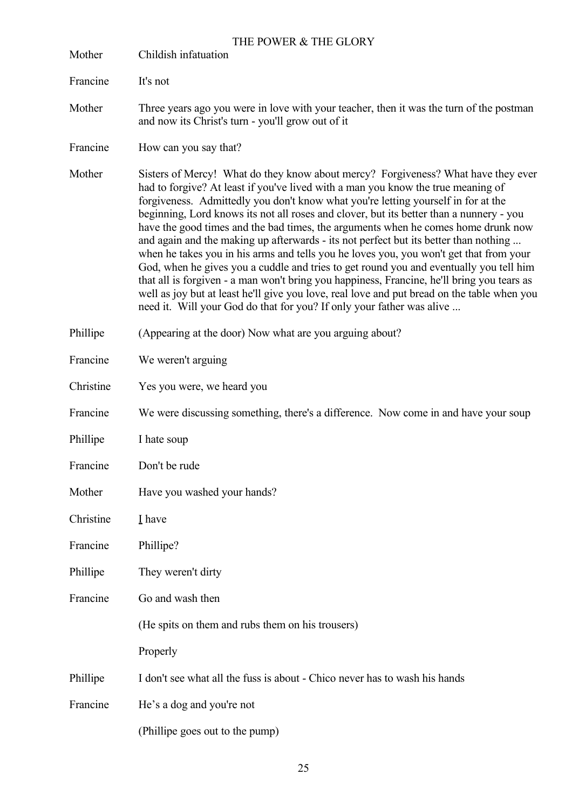| Mother    | THE POWER & THE GLORY<br>Childish infatuation                                                                                                                                                                                                                                                                                                                                                                                                                                                                                                                                                                                                                                                                                                                                                                                                                                                                                                                                                |
|-----------|----------------------------------------------------------------------------------------------------------------------------------------------------------------------------------------------------------------------------------------------------------------------------------------------------------------------------------------------------------------------------------------------------------------------------------------------------------------------------------------------------------------------------------------------------------------------------------------------------------------------------------------------------------------------------------------------------------------------------------------------------------------------------------------------------------------------------------------------------------------------------------------------------------------------------------------------------------------------------------------------|
| Francine  | It's not                                                                                                                                                                                                                                                                                                                                                                                                                                                                                                                                                                                                                                                                                                                                                                                                                                                                                                                                                                                     |
| Mother    | Three years ago you were in love with your teacher, then it was the turn of the postman<br>and now its Christ's turn - you'll grow out of it                                                                                                                                                                                                                                                                                                                                                                                                                                                                                                                                                                                                                                                                                                                                                                                                                                                 |
| Francine  | How can you say that?                                                                                                                                                                                                                                                                                                                                                                                                                                                                                                                                                                                                                                                                                                                                                                                                                                                                                                                                                                        |
| Mother    | Sisters of Mercy! What do they know about mercy? Forgiveness? What have they ever<br>had to forgive? At least if you've lived with a man you know the true meaning of<br>forgiveness. Admittedly you don't know what you're letting yourself in for at the<br>beginning, Lord knows its not all roses and clover, but its better than a nunnery - you<br>have the good times and the bad times, the arguments when he comes home drunk now<br>and again and the making up afterwards - its not perfect but its better than nothing<br>when he takes you in his arms and tells you he loves you, you won't get that from your<br>God, when he gives you a cuddle and tries to get round you and eventually you tell him<br>that all is forgiven - a man won't bring you happiness, Francine, he'll bring you tears as<br>well as joy but at least he'll give you love, real love and put bread on the table when you<br>need it. Will your God do that for you? If only your father was alive |
| Phillipe  | (Appearing at the door) Now what are you arguing about?                                                                                                                                                                                                                                                                                                                                                                                                                                                                                                                                                                                                                                                                                                                                                                                                                                                                                                                                      |
| Francine  | We weren't arguing                                                                                                                                                                                                                                                                                                                                                                                                                                                                                                                                                                                                                                                                                                                                                                                                                                                                                                                                                                           |
| Christine | Yes you were, we heard you                                                                                                                                                                                                                                                                                                                                                                                                                                                                                                                                                                                                                                                                                                                                                                                                                                                                                                                                                                   |
| Francine  | We were discussing something, there's a difference. Now come in and have your soup                                                                                                                                                                                                                                                                                                                                                                                                                                                                                                                                                                                                                                                                                                                                                                                                                                                                                                           |
| Phillipe  | I hate soup                                                                                                                                                                                                                                                                                                                                                                                                                                                                                                                                                                                                                                                                                                                                                                                                                                                                                                                                                                                  |
| Francine  | Don't be rude                                                                                                                                                                                                                                                                                                                                                                                                                                                                                                                                                                                                                                                                                                                                                                                                                                                                                                                                                                                |
| Mother    | Have you washed your hands?                                                                                                                                                                                                                                                                                                                                                                                                                                                                                                                                                                                                                                                                                                                                                                                                                                                                                                                                                                  |
| Christine | I have                                                                                                                                                                                                                                                                                                                                                                                                                                                                                                                                                                                                                                                                                                                                                                                                                                                                                                                                                                                       |
| Francine  | Phillipe?                                                                                                                                                                                                                                                                                                                                                                                                                                                                                                                                                                                                                                                                                                                                                                                                                                                                                                                                                                                    |
| Phillipe  | They weren't dirty                                                                                                                                                                                                                                                                                                                                                                                                                                                                                                                                                                                                                                                                                                                                                                                                                                                                                                                                                                           |
| Francine  | Go and wash then                                                                                                                                                                                                                                                                                                                                                                                                                                                                                                                                                                                                                                                                                                                                                                                                                                                                                                                                                                             |
|           | (He spits on them and rubs them on his trousers)                                                                                                                                                                                                                                                                                                                                                                                                                                                                                                                                                                                                                                                                                                                                                                                                                                                                                                                                             |
|           | Properly                                                                                                                                                                                                                                                                                                                                                                                                                                                                                                                                                                                                                                                                                                                                                                                                                                                                                                                                                                                     |
| Phillipe  | I don't see what all the fuss is about - Chico never has to wash his hands                                                                                                                                                                                                                                                                                                                                                                                                                                                                                                                                                                                                                                                                                                                                                                                                                                                                                                                   |
| Francine  | He's a dog and you're not                                                                                                                                                                                                                                                                                                                                                                                                                                                                                                                                                                                                                                                                                                                                                                                                                                                                                                                                                                    |
|           | (Phillipe goes out to the pump)                                                                                                                                                                                                                                                                                                                                                                                                                                                                                                                                                                                                                                                                                                                                                                                                                                                                                                                                                              |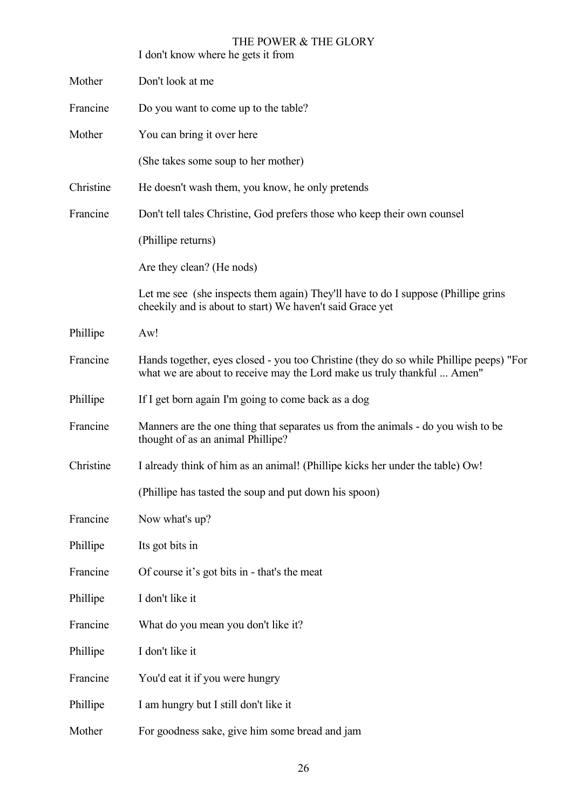|           | THE POWER & THE GLORY<br>I don't know where he gets it from                                                                                                       |
|-----------|-------------------------------------------------------------------------------------------------------------------------------------------------------------------|
| Mother    | Don't look at me                                                                                                                                                  |
| Francine  | Do you want to come up to the table?                                                                                                                              |
| Mother    | You can bring it over here                                                                                                                                        |
|           | (She takes some soup to her mother)                                                                                                                               |
| Christine | He doesn't wash them, you know, he only pretends                                                                                                                  |
| Francine  | Don't tell tales Christine, God prefers those who keep their own counsel                                                                                          |
|           | (Phillipe returns)                                                                                                                                                |
|           | Are they clean? (He nods)                                                                                                                                         |
|           | Let me see (she inspects them again) They'll have to do I suppose (Phillipe grins<br>cheekily and is about to start) We haven't said Grace yet                    |
| Phillipe  | Aw!                                                                                                                                                               |
| Francine  | Hands together, eyes closed - you too Christine (they do so while Phillipe peeps) "For<br>what we are about to receive may the Lord make us truly thankful  Amen" |
| Phillipe  | If I get born again I'm going to come back as a dog                                                                                                               |
| Francine  | Manners are the one thing that separates us from the animals - do you wish to be<br>thought of as an animal Phillipe?                                             |
| Christine | I already think of him as an animal! (Phillipe kicks her under the table) Ow!                                                                                     |
|           | (Phillipe has tasted the soup and put down his spoon)                                                                                                             |
| Francine  | Now what's up?                                                                                                                                                    |
| Phillipe  | Its got bits in                                                                                                                                                   |
| Francine  | Of course it's got bits in - that's the meat                                                                                                                      |
| Phillipe  | I don't like it                                                                                                                                                   |
| Francine  | What do you mean you don't like it?                                                                                                                               |
| Phillipe  | I don't like it                                                                                                                                                   |
| Francine  | You'd eat it if you were hungry                                                                                                                                   |
| Phillipe  | I am hungry but I still don't like it                                                                                                                             |
| Mother    | For goodness sake, give him some bread and jam                                                                                                                    |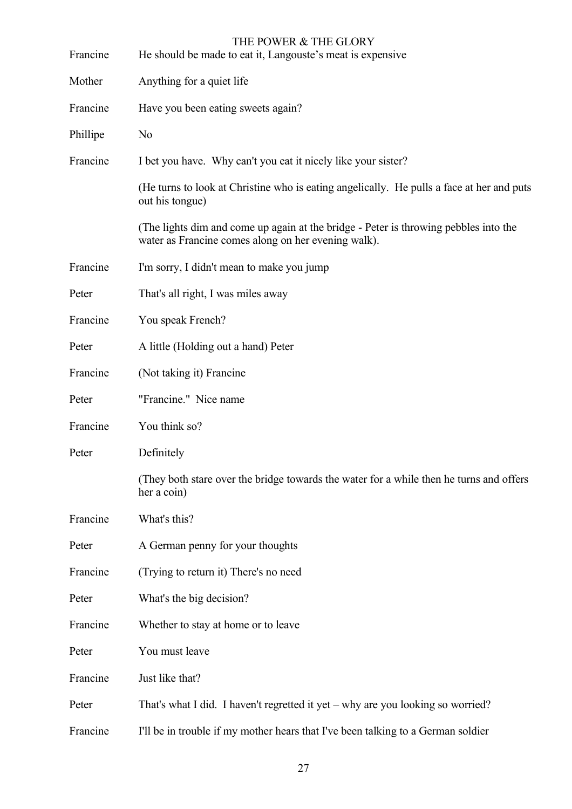| Francine | THE POWER & THE GLORY<br>He should be made to eat it, Langouste's meat is expensive                                                         |
|----------|---------------------------------------------------------------------------------------------------------------------------------------------|
| Mother   | Anything for a quiet life                                                                                                                   |
| Francine | Have you been eating sweets again?                                                                                                          |
| Phillipe | N <sub>0</sub>                                                                                                                              |
| Francine | I bet you have. Why can't you eat it nicely like your sister?                                                                               |
|          | (He turns to look at Christine who is eating angelically. He pulls a face at her and puts<br>out his tongue)                                |
|          | (The lights dim and come up again at the bridge - Peter is throwing pebbles into the<br>water as Francine comes along on her evening walk). |
| Francine | I'm sorry, I didn't mean to make you jump                                                                                                   |
| Peter    | That's all right, I was miles away                                                                                                          |
| Francine | You speak French?                                                                                                                           |
| Peter    | A little (Holding out a hand) Peter                                                                                                         |
| Francine | (Not taking it) Francine                                                                                                                    |
| Peter    | "Francine." Nice name                                                                                                                       |
| Francine | You think so?                                                                                                                               |
| Peter    | Definitely                                                                                                                                  |
|          | (They both stare over the bridge towards the water for a while then he turns and offers<br>her a coin)                                      |
| Francine | What's this?                                                                                                                                |
| Peter    | A German penny for your thoughts                                                                                                            |
| Francine | (Trying to return it) There's no need                                                                                                       |
| Peter    | What's the big decision?                                                                                                                    |
| Francine | Whether to stay at home or to leave                                                                                                         |
| Peter    | You must leave                                                                                                                              |
| Francine | Just like that?                                                                                                                             |
| Peter    | That's what I did. I haven't regretted it yet – why are you looking so worried?                                                             |
| Francine | I'll be in trouble if my mother hears that I've been talking to a German soldier                                                            |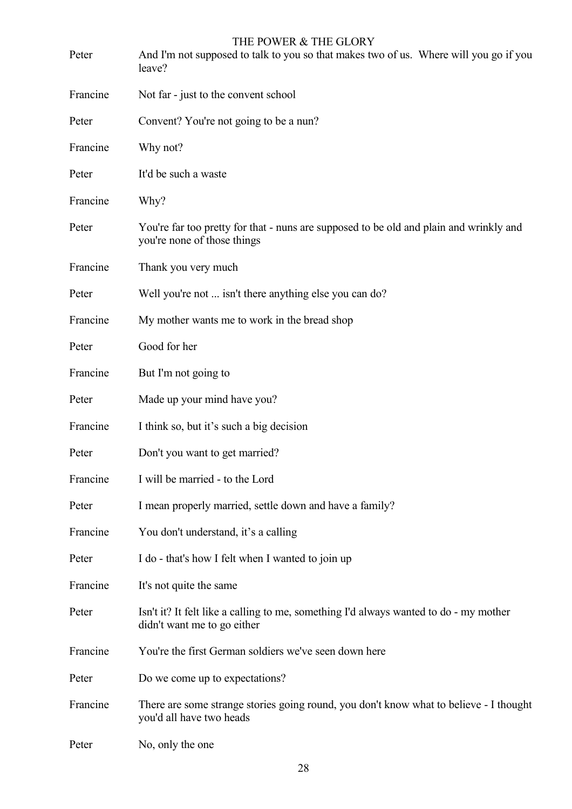| Peter    | THE POWER & THE GLORY<br>And I'm not supposed to talk to you so that makes two of us. Where will you go if you<br>leave? |
|----------|--------------------------------------------------------------------------------------------------------------------------|
| Francine | Not far - just to the convent school                                                                                     |
| Peter    | Convent? You're not going to be a nun?                                                                                   |
| Francine | Why not?                                                                                                                 |
| Peter    | It'd be such a waste                                                                                                     |
| Francine | Why?                                                                                                                     |
| Peter    | You're far too pretty for that - nuns are supposed to be old and plain and wrinkly and<br>you're none of those things    |
| Francine | Thank you very much                                                                                                      |
| Peter    | Well you're not  isn't there anything else you can do?                                                                   |
| Francine | My mother wants me to work in the bread shop                                                                             |
| Peter    | Good for her                                                                                                             |
| Francine | But I'm not going to                                                                                                     |
| Peter    | Made up your mind have you?                                                                                              |
| Francine | I think so, but it's such a big decision                                                                                 |
| Peter    | Don't you want to get married?                                                                                           |
| Francine | I will be married - to the Lord                                                                                          |
| Peter    | I mean properly married, settle down and have a family?                                                                  |
| Francine | You don't understand, it's a calling                                                                                     |
| Peter    | I do - that's how I felt when I wanted to join up                                                                        |
| Francine | It's not quite the same                                                                                                  |
| Peter    | Isn't it? It felt like a calling to me, something I'd always wanted to do - my mother<br>didn't want me to go either     |
| Francine | You're the first German soldiers we've seen down here                                                                    |
| Peter    | Do we come up to expectations?                                                                                           |
| Francine | There are some strange stories going round, you don't know what to believe - I thought<br>you'd all have two heads       |
| Peter    | No, only the one                                                                                                         |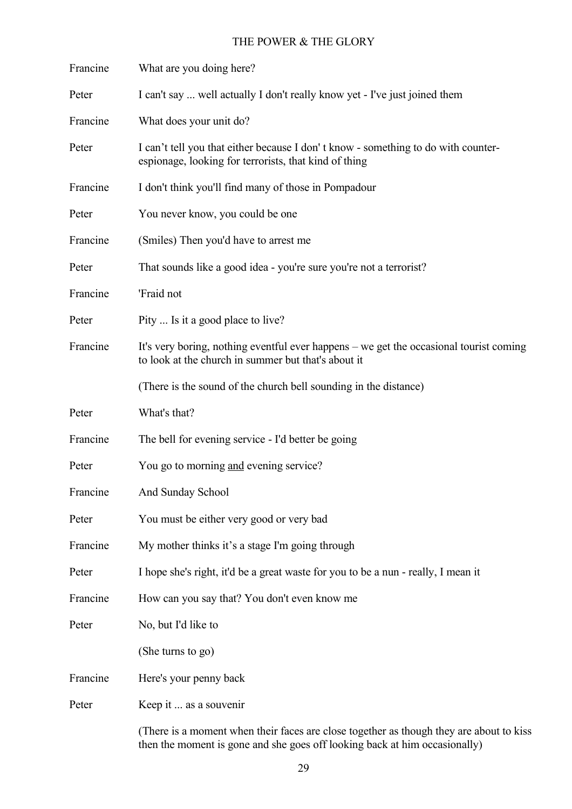| Francine | What are you doing here?                                                                                                                      |
|----------|-----------------------------------------------------------------------------------------------------------------------------------------------|
| Peter    | I can't say  well actually I don't really know yet - I've just joined them                                                                    |
| Francine | What does your unit do?                                                                                                                       |
| Peter    | I can't tell you that either because I don't know - something to do with counter-<br>espionage, looking for terrorists, that kind of thing    |
| Francine | I don't think you'll find many of those in Pompadour                                                                                          |
| Peter    | You never know, you could be one                                                                                                              |
| Francine | (Smiles) Then you'd have to arrest me                                                                                                         |
| Peter    | That sounds like a good idea - you're sure you're not a terrorist?                                                                            |
| Francine | 'Fraid not                                                                                                                                    |
| Peter    | Pity  Is it a good place to live?                                                                                                             |
| Francine | It's very boring, nothing eventful ever happens – we get the occasional tourist coming<br>to look at the church in summer but that's about it |
|          | (There is the sound of the church bell sounding in the distance)                                                                              |
| Peter    | What's that?                                                                                                                                  |
| Francine | The bell for evening service - I'd better be going                                                                                            |
| Peter    | You go to morning and evening service?                                                                                                        |
| Francine | And Sunday School                                                                                                                             |
| Peter    | You must be either very good or very bad                                                                                                      |
| Francine | My mother thinks it's a stage I'm going through                                                                                               |
| Peter    | I hope she's right, it'd be a great waste for you to be a nun - really, I mean it                                                             |
| Francine | How can you say that? You don't even know me                                                                                                  |
| Peter    | No, but I'd like to                                                                                                                           |
|          | (She turns to go)                                                                                                                             |
| Francine | Here's your penny back                                                                                                                        |
| Peter    | Keep it  as a souvenir                                                                                                                        |
|          | (There is a moment when their faces are close together as though they are about to kiss                                                       |

then the moment is gone and she goes off looking back at him occasionally)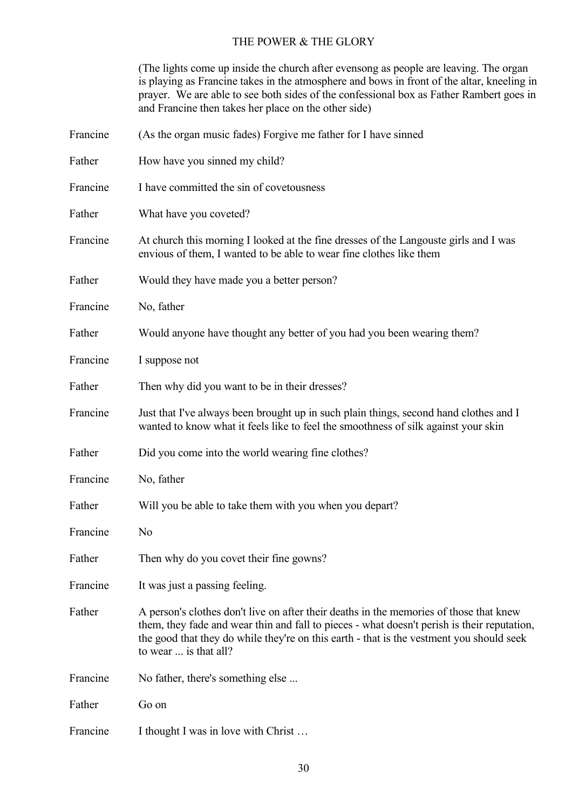(The lights come up inside the church after evensong as people are leaving. The organ is playing as Francine takes in the atmosphere and bows in front of the altar, kneeling in prayer. We are able to see both sides of the confessional box as Father Rambert goes in and Francine then takes her place on the other side)

| Francine | (As the organ music fades) Forgive me father for I have sinned                                                                                                                                                                                                                                             |
|----------|------------------------------------------------------------------------------------------------------------------------------------------------------------------------------------------------------------------------------------------------------------------------------------------------------------|
| Father   | How have you sinned my child?                                                                                                                                                                                                                                                                              |
| Francine | I have committed the sin of covetousness                                                                                                                                                                                                                                                                   |
| Father   | What have you coveted?                                                                                                                                                                                                                                                                                     |
| Francine | At church this morning I looked at the fine dresses of the Langouste girls and I was<br>envious of them, I wanted to be able to wear fine clothes like them                                                                                                                                                |
| Father   | Would they have made you a better person?                                                                                                                                                                                                                                                                  |
| Francine | No, father                                                                                                                                                                                                                                                                                                 |
| Father   | Would anyone have thought any better of you had you been wearing them?                                                                                                                                                                                                                                     |
| Francine | I suppose not                                                                                                                                                                                                                                                                                              |
| Father   | Then why did you want to be in their dresses?                                                                                                                                                                                                                                                              |
| Francine | Just that I've always been brought up in such plain things, second hand clothes and I<br>wanted to know what it feels like to feel the smoothness of silk against your skin                                                                                                                                |
| Father   | Did you come into the world wearing fine clothes?                                                                                                                                                                                                                                                          |
| Francine | No, father                                                                                                                                                                                                                                                                                                 |
| Father   | Will you be able to take them with you when you depart?                                                                                                                                                                                                                                                    |
| Francine | N <sub>0</sub>                                                                                                                                                                                                                                                                                             |
| Father   | Then why do you covet their fine gowns?                                                                                                                                                                                                                                                                    |
| Francine | It was just a passing feeling.                                                                                                                                                                                                                                                                             |
| Father   | A person's clothes don't live on after their deaths in the memories of those that knew<br>them, they fade and wear thin and fall to pieces - what doesn't perish is their reputation,<br>the good that they do while they're on this earth - that is the vestment you should seek<br>to wear  is that all? |
| Francine | No father, there's something else                                                                                                                                                                                                                                                                          |
| Father   | Go on                                                                                                                                                                                                                                                                                                      |
| Francine | I thought I was in love with Christ                                                                                                                                                                                                                                                                        |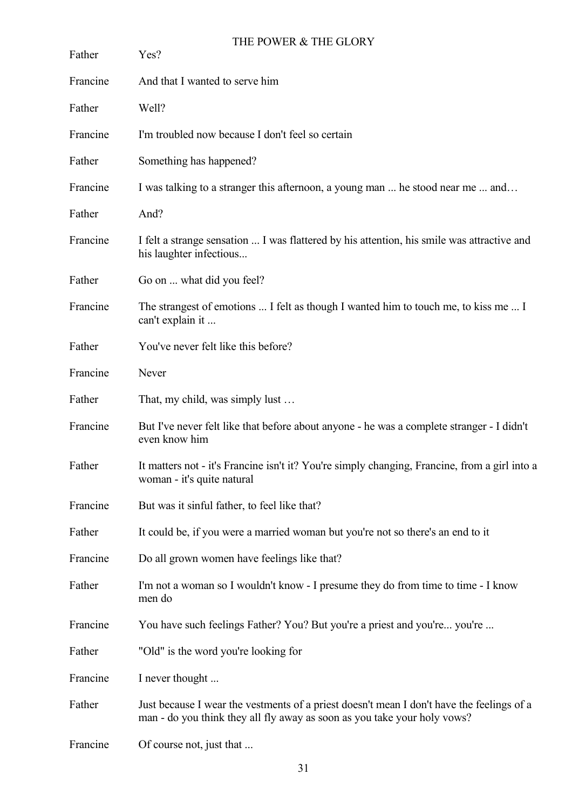| Father   | THE POWER & THE GLORY<br>Yes?                                                                                                                                         |
|----------|-----------------------------------------------------------------------------------------------------------------------------------------------------------------------|
| Francine | And that I wanted to serve him                                                                                                                                        |
| Father   | Well?                                                                                                                                                                 |
| Francine | I'm troubled now because I don't feel so certain                                                                                                                      |
| Father   | Something has happened?                                                                                                                                               |
| Francine | I was talking to a stranger this afternoon, a young man  he stood near me  and                                                                                        |
| Father   | And?                                                                                                                                                                  |
| Francine | I felt a strange sensation  I was flattered by his attention, his smile was attractive and<br>his laughter infectious                                                 |
| Father   | Go on  what did you feel?                                                                                                                                             |
| Francine | The strangest of emotions  I felt as though I wanted him to touch me, to kiss me  I<br>can't explain it                                                               |
| Father   | You've never felt like this before?                                                                                                                                   |
| Francine | Never                                                                                                                                                                 |
| Father   | That, my child, was simply lust                                                                                                                                       |
| Francine | But I've never felt like that before about anyone - he was a complete stranger - I didn't<br>even know him                                                            |
| Father   | It matters not - it's Francine isn't it? You're simply changing, Francine, from a girl into a<br>woman - it's quite natural                                           |
| Francine | But was it sinful father, to feel like that?                                                                                                                          |
| Father   | It could be, if you were a married woman but you're not so there's an end to it                                                                                       |
| Francine | Do all grown women have feelings like that?                                                                                                                           |
| Father   | I'm not a woman so I wouldn't know - I presume they do from time to time - I know<br>men do                                                                           |
| Francine | You have such feelings Father? You? But you're a priest and you're you're                                                                                             |
| Father   | "Old" is the word you're looking for                                                                                                                                  |
| Francine | I never thought                                                                                                                                                       |
| Father   | Just because I wear the vestments of a priest doesn't mean I don't have the feelings of a<br>man - do you think they all fly away as soon as you take your holy vows? |
| Francine | Of course not, just that                                                                                                                                              |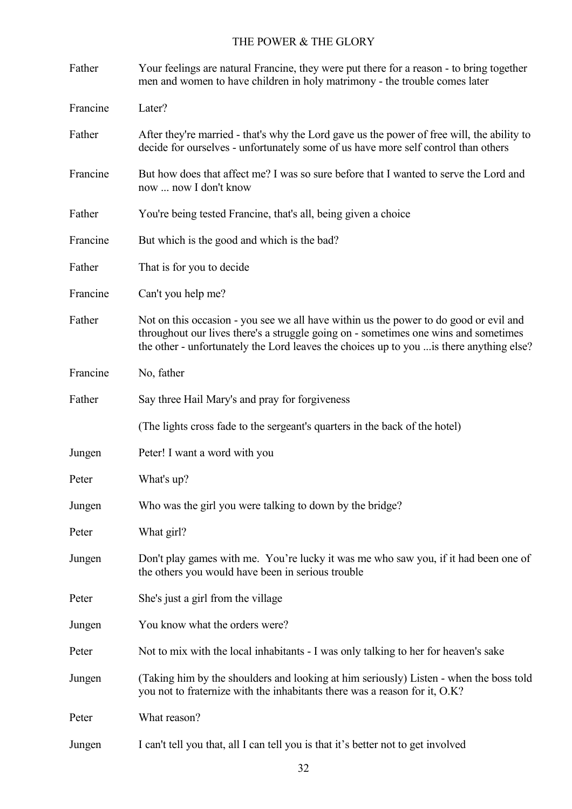| Father   | Your feelings are natural Francine, they were put there for a reason - to bring together<br>men and women to have children in holy matrimony - the trouble comes later                                                                                                   |
|----------|--------------------------------------------------------------------------------------------------------------------------------------------------------------------------------------------------------------------------------------------------------------------------|
| Francine | Later?                                                                                                                                                                                                                                                                   |
| Father   | After they're married - that's why the Lord gave us the power of free will, the ability to<br>decide for ourselves - unfortunately some of us have more self control than others                                                                                         |
| Francine | But how does that affect me? I was so sure before that I wanted to serve the Lord and<br>now  now I don't know                                                                                                                                                           |
| Father   | You're being tested Francine, that's all, being given a choice                                                                                                                                                                                                           |
| Francine | But which is the good and which is the bad?                                                                                                                                                                                                                              |
| Father   | That is for you to decide                                                                                                                                                                                                                                                |
| Francine | Can't you help me?                                                                                                                                                                                                                                                       |
| Father   | Not on this occasion - you see we all have within us the power to do good or evil and<br>throughout our lives there's a struggle going on - sometimes one wins and sometimes<br>the other - unfortunately the Lord leaves the choices up to you  is there anything else? |
| Francine | No, father                                                                                                                                                                                                                                                               |
| Father   | Say three Hail Mary's and pray for forgiveness                                                                                                                                                                                                                           |
|          | (The lights cross fade to the sergeant's quarters in the back of the hotel)                                                                                                                                                                                              |
| Jungen   | Peter! I want a word with you                                                                                                                                                                                                                                            |
| Peter    | What's up?                                                                                                                                                                                                                                                               |
| Jungen   | Who was the girl you were talking to down by the bridge?                                                                                                                                                                                                                 |
| Peter    | What girl?                                                                                                                                                                                                                                                               |
| Jungen   | Don't play games with me. You're lucky it was me who saw you, if it had been one of<br>the others you would have been in serious trouble                                                                                                                                 |
| Peter    | She's just a girl from the village                                                                                                                                                                                                                                       |
| Jungen   | You know what the orders were?                                                                                                                                                                                                                                           |
| Peter    | Not to mix with the local inhabitants - I was only talking to her for heaven's sake                                                                                                                                                                                      |
| Jungen   | (Taking him by the shoulders and looking at him seriously) Listen - when the boss told<br>you not to fraternize with the inhabitants there was a reason for it, O.K?                                                                                                     |
| Peter    | What reason?                                                                                                                                                                                                                                                             |
| Jungen   | I can't tell you that, all I can tell you is that it's better not to get involved                                                                                                                                                                                        |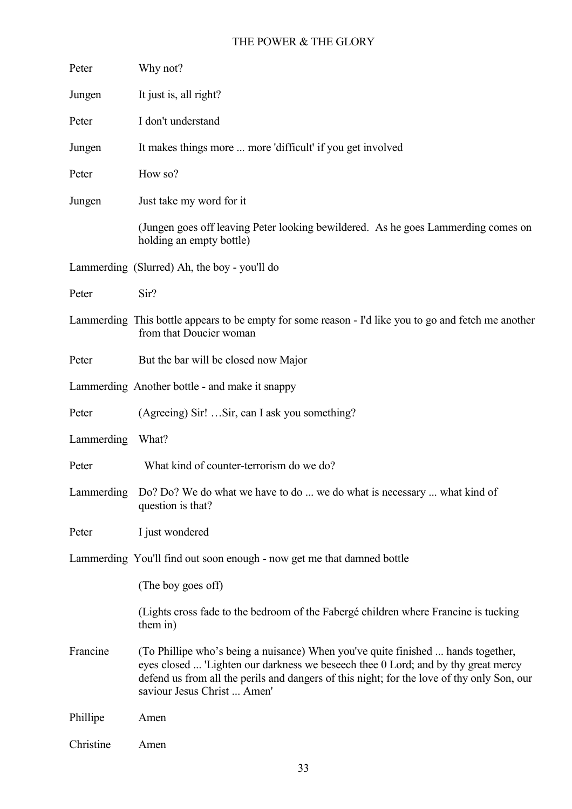| Peter      | Why not?                                                                                                                                                                                                                                                                                           |
|------------|----------------------------------------------------------------------------------------------------------------------------------------------------------------------------------------------------------------------------------------------------------------------------------------------------|
| Jungen     | It just is, all right?                                                                                                                                                                                                                                                                             |
| Peter      | I don't understand                                                                                                                                                                                                                                                                                 |
| Jungen     | It makes things more  more 'difficult' if you get involved                                                                                                                                                                                                                                         |
| Peter      | How so?                                                                                                                                                                                                                                                                                            |
| Jungen     | Just take my word for it                                                                                                                                                                                                                                                                           |
|            | (Jungen goes off leaving Peter looking bewildered. As he goes Lammerding comes on<br>holding an empty bottle)                                                                                                                                                                                      |
|            | Lammerding (Slurred) Ah, the boy - you'll do                                                                                                                                                                                                                                                       |
| Peter      | Sir?                                                                                                                                                                                                                                                                                               |
|            | Lammerding This bottle appears to be empty for some reason - I'd like you to go and fetch me another<br>from that Doucier woman                                                                                                                                                                    |
| Peter      | But the bar will be closed now Major                                                                                                                                                                                                                                                               |
|            | Lammerding Another bottle - and make it snappy                                                                                                                                                                                                                                                     |
| Peter      | (Agreeing) Sir!  Sir, can I ask you something?                                                                                                                                                                                                                                                     |
| Lammerding | What?                                                                                                                                                                                                                                                                                              |
| Peter      | What kind of counter-terrorism do we do?                                                                                                                                                                                                                                                           |
| Lammerding | Do? Do? We do what we have to do  we do what is necessary  what kind of<br>question is that?                                                                                                                                                                                                       |
| Peter      | I just wondered                                                                                                                                                                                                                                                                                    |
|            | Lammerding You'll find out soon enough - now get me that damned bottle                                                                                                                                                                                                                             |
|            | (The boy goes off)                                                                                                                                                                                                                                                                                 |
|            | (Lights cross fade to the bedroom of the Fabergé children where Francine is tucking<br>them in)                                                                                                                                                                                                    |
| Francine   | (To Phillipe who's being a nuisance) When you've quite finished  hands together,<br>eyes closed  'Lighten our darkness we beseech thee 0 Lord; and by thy great mercy<br>defend us from all the perils and dangers of this night; for the love of thy only Son, our<br>saviour Jesus Christ  Amen' |
| Phillipe   | Amen                                                                                                                                                                                                                                                                                               |
| Christine  | Amen                                                                                                                                                                                                                                                                                               |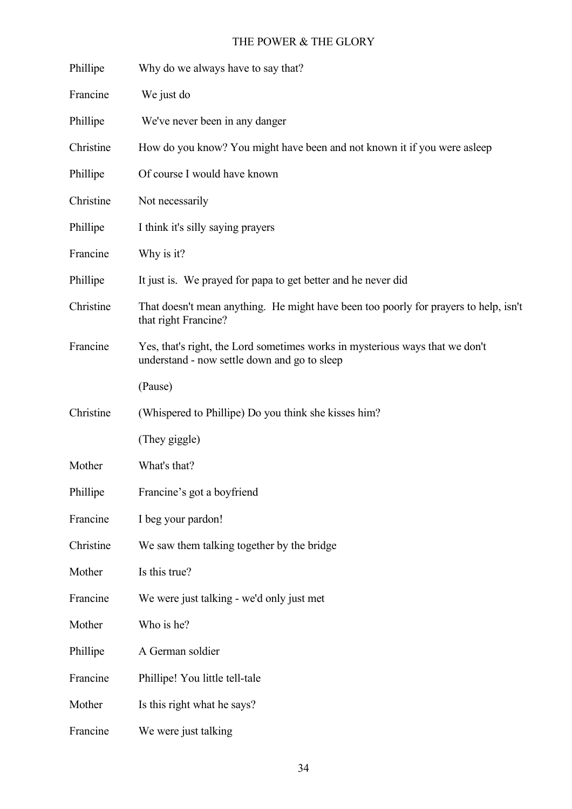| Phillipe  | Why do we always have to say that?                                                                                           |
|-----------|------------------------------------------------------------------------------------------------------------------------------|
| Francine  | We just do                                                                                                                   |
| Phillipe  | We've never been in any danger                                                                                               |
| Christine | How do you know? You might have been and not known it if you were as leep                                                    |
| Phillipe  | Of course I would have known                                                                                                 |
| Christine | Not necessarily                                                                                                              |
| Phillipe  | I think it's silly saying prayers                                                                                            |
| Francine  | Why is it?                                                                                                                   |
| Phillipe  | It just is. We prayed for papa to get better and he never did                                                                |
| Christine | That doesn't mean anything. He might have been too poorly for prayers to help, isn't<br>that right Francine?                 |
| Francine  | Yes, that's right, the Lord sometimes works in mysterious ways that we don't<br>understand - now settle down and go to sleep |
|           | (Pause)                                                                                                                      |
| Christine | (Whispered to Phillipe) Do you think she kisses him?                                                                         |
|           | (They giggle)                                                                                                                |
| Mother    | What's that?                                                                                                                 |
| Phillipe  | Francine's got a boyfriend                                                                                                   |
| Francine  | I beg your pardon!                                                                                                           |
| Christine | We saw them talking together by the bridge                                                                                   |
| Mother    | Is this true?                                                                                                                |
| Francine  | We were just talking - we'd only just met                                                                                    |
| Mother    | Who is he?                                                                                                                   |
| Phillipe  | A German soldier                                                                                                             |
| Francine  | Phillipe! You little tell-tale                                                                                               |
| Mother    | Is this right what he says?                                                                                                  |
| Francine  | We were just talking                                                                                                         |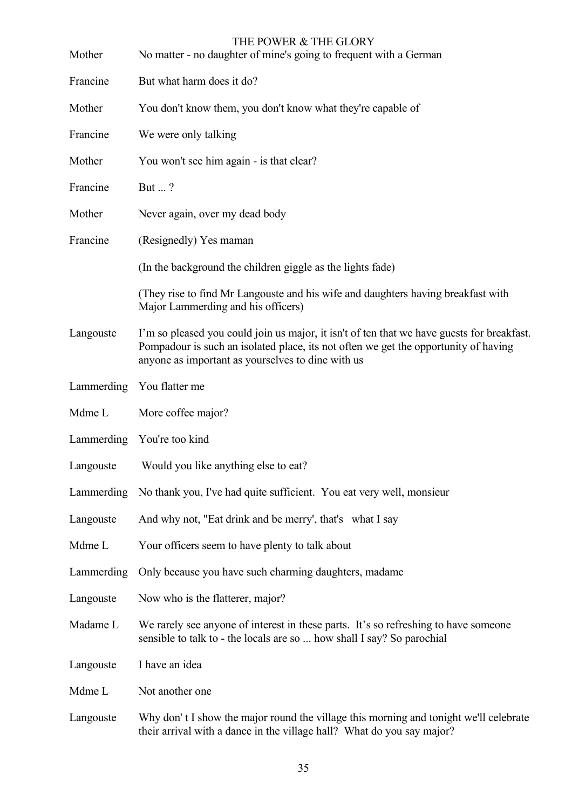| Mother     | THE POWER & THE GLORY<br>No matter - no daughter of mine's going to frequent with a German                                                                                                                                             |
|------------|----------------------------------------------------------------------------------------------------------------------------------------------------------------------------------------------------------------------------------------|
| Francine   | But what harm does it do?                                                                                                                                                                                                              |
| Mother     | You don't know them, you don't know what they're capable of                                                                                                                                                                            |
| Francine   | We were only talking                                                                                                                                                                                                                   |
| Mother     | You won't see him again - is that clear?                                                                                                                                                                                               |
| Francine   | But ?                                                                                                                                                                                                                                  |
| Mother     | Never again, over my dead body                                                                                                                                                                                                         |
| Francine   | (Resignedly) Yes maman                                                                                                                                                                                                                 |
|            | (In the background the children giggle as the lights fade)                                                                                                                                                                             |
|            | (They rise to find Mr Langouste and his wife and daughters having breakfast with<br>Major Lammerding and his officers)                                                                                                                 |
| Langouste  | I'm so pleased you could join us major, it isn't of ten that we have guests for breakfast.<br>Pompadour is such an isolated place, its not often we get the opportunity of having<br>anyone as important as yourselves to dine with us |
|            | Lammerding You flatter me                                                                                                                                                                                                              |
| Mdme L     | More coffee major?                                                                                                                                                                                                                     |
|            | Lammerding You're too kind                                                                                                                                                                                                             |
| Langouste  | Would you like anything else to eat?                                                                                                                                                                                                   |
|            | Lammerding No thank you, I've had quite sufficient. You eat very well, monsieur                                                                                                                                                        |
| Langouste  | And why not, "Eat drink and be merry', that's what I say                                                                                                                                                                               |
| Mdme L     | Your officers seem to have plenty to talk about                                                                                                                                                                                        |
| Lammerding | Only because you have such charming daughters, madame                                                                                                                                                                                  |
| Langouste  | Now who is the flatterer, major?                                                                                                                                                                                                       |
| Madame L   | We rarely see anyone of interest in these parts. It's so refreshing to have someone<br>sensible to talk to - the locals are so  how shall I say? So parochial                                                                          |
| Langouste  | I have an idea                                                                                                                                                                                                                         |
| Mdme L     | Not another one                                                                                                                                                                                                                        |
| Langouste  | Why don't I show the major round the village this morning and tonight we'll celebrate<br>their arrival with a dance in the village hall? What do you say major?                                                                        |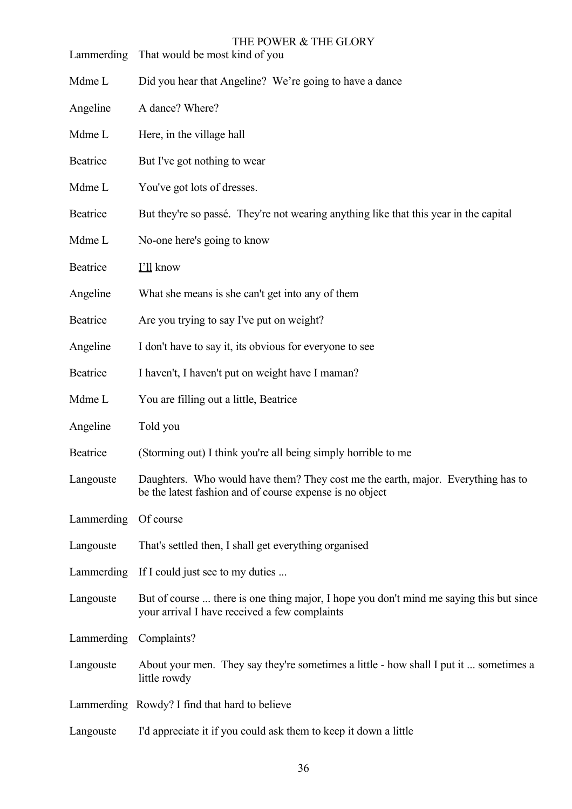| Lammerding | THE POWER & THE GLORY<br>That would be most kind of you                                                                                      |
|------------|----------------------------------------------------------------------------------------------------------------------------------------------|
| Mdme L     | Did you hear that Angeline? We're going to have a dance                                                                                      |
| Angeline   | A dance? Where?                                                                                                                              |
| Mdme L     | Here, in the village hall                                                                                                                    |
| Beatrice   | But I've got nothing to wear                                                                                                                 |
| Mdme L     | You've got lots of dresses.                                                                                                                  |
| Beatrice   | But they're so passé. They're not wearing anything like that this year in the capital                                                        |
| Mdme L     | No-one here's going to know                                                                                                                  |
| Beatrice   | I'll know                                                                                                                                    |
| Angeline   | What she means is she can't get into any of them                                                                                             |
| Beatrice   | Are you trying to say I've put on weight?                                                                                                    |
| Angeline   | I don't have to say it, its obvious for everyone to see                                                                                      |
| Beatrice   | I haven't, I haven't put on weight have I maman?                                                                                             |
| Mdme L     | You are filling out a little, Beatrice                                                                                                       |
| Angeline   | Told you                                                                                                                                     |
| Beatrice   | (Storming out) I think you're all being simply horrible to me                                                                                |
| Langouste  | Daughters. Who would have them? They cost me the earth, major. Everything has to<br>be the latest fashion and of course expense is no object |
| Lammerding | Of course                                                                                                                                    |
| Langouste  | That's settled then, I shall get everything organised                                                                                        |
| Lammerding | If I could just see to my duties                                                                                                             |
| Langouste  | But of course  there is one thing major, I hope you don't mind me saying this but since<br>your arrival I have received a few complaints     |
| Lammerding | Complaints?                                                                                                                                  |
| Langouste  | About your men. They say they're sometimes a little - how shall I put it  sometimes a<br>little rowdy                                        |
|            | Lammerding Rowdy? I find that hard to believe                                                                                                |
|            |                                                                                                                                              |

Langouste I'd appreciate it if you could ask them to keep it down a little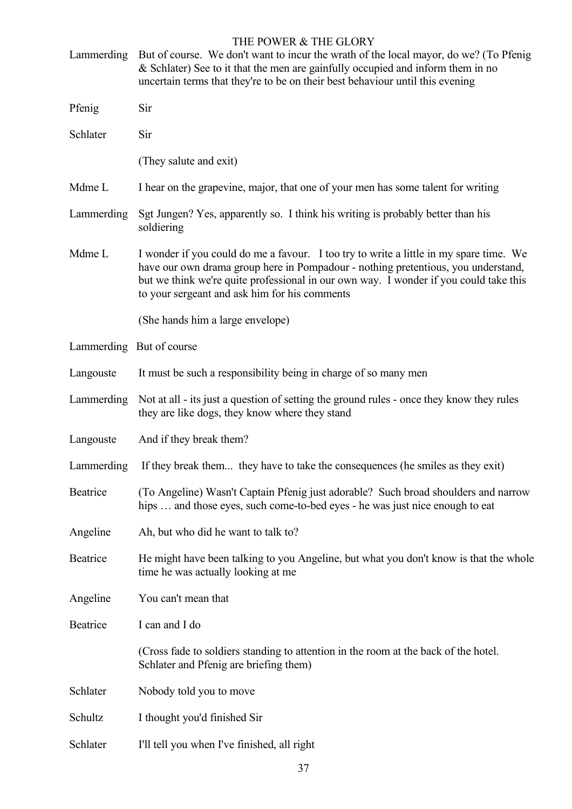| Lammerding | But of course. We don't want to incur the wrath of the local mayor, do we? (To Pfenig<br>& Schlater) See to it that the men are gainfully occupied and inform them in no<br>uncertain terms that they're to be on their best behaviour until this evening                                                             |
|------------|-----------------------------------------------------------------------------------------------------------------------------------------------------------------------------------------------------------------------------------------------------------------------------------------------------------------------|
| Pfenig     | Sir                                                                                                                                                                                                                                                                                                                   |
| Schlater   | Sir                                                                                                                                                                                                                                                                                                                   |
|            | (They salute and exit)                                                                                                                                                                                                                                                                                                |
| Mdme L     | I hear on the grapevine, major, that one of your men has some talent for writing                                                                                                                                                                                                                                      |
| Lammerding | Sgt Jungen? Yes, apparently so. I think his writing is probably better than his<br>soldiering                                                                                                                                                                                                                         |
| Mdme L     | I wonder if you could do me a favour. I too try to write a little in my spare time. We<br>have our own drama group here in Pompadour - nothing pretentious, you understand,<br>but we think we're quite professional in our own way. I wonder if you could take this<br>to your sergeant and ask him for his comments |
|            | (She hands him a large envelope)                                                                                                                                                                                                                                                                                      |
|            | Lammerding But of course                                                                                                                                                                                                                                                                                              |
| Langouste  | It must be such a responsibility being in charge of so many men                                                                                                                                                                                                                                                       |
| Lammerding | Not at all - its just a question of setting the ground rules - once they know they rules<br>they are like dogs, they know where they stand                                                                                                                                                                            |
| Langouste  | And if they break them?                                                                                                                                                                                                                                                                                               |
| Lammerding | If they break them they have to take the consequences (he smiles as they exit)                                                                                                                                                                                                                                        |
| Beatrice   | (To Angeline) Wasn't Captain Pfenig just adorable? Such broad shoulders and narrow<br>hips  and those eyes, such come-to-bed eyes - he was just nice enough to eat                                                                                                                                                    |
| Angeline   | Ah, but who did he want to talk to?                                                                                                                                                                                                                                                                                   |
| Beatrice   | He might have been talking to you Angeline, but what you don't know is that the whole<br>time he was actually looking at me                                                                                                                                                                                           |
| Angeline   | You can't mean that                                                                                                                                                                                                                                                                                                   |
| Beatrice   | I can and I do                                                                                                                                                                                                                                                                                                        |
|            | (Cross fade to soldiers standing to attention in the room at the back of the hotel.<br>Schlater and Pfenig are briefing them)                                                                                                                                                                                         |
| Schlater   | Nobody told you to move                                                                                                                                                                                                                                                                                               |
| Schultz    | I thought you'd finished Sir                                                                                                                                                                                                                                                                                          |
| Schlater   | I'll tell you when I've finished, all right                                                                                                                                                                                                                                                                           |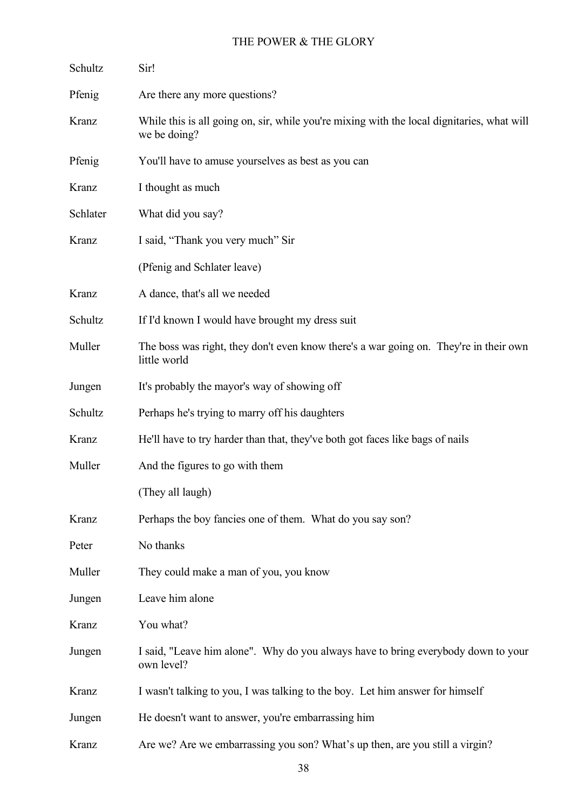| Schultz  | Sir!                                                                                                       |
|----------|------------------------------------------------------------------------------------------------------------|
| Pfenig   | Are there any more questions?                                                                              |
| Kranz    | While this is all going on, sir, while you're mixing with the local dignitaries, what will<br>we be doing? |
| Pfenig   | You'll have to amuse yourselves as best as you can                                                         |
| Kranz    | I thought as much                                                                                          |
| Schlater | What did you say?                                                                                          |
| Kranz    | I said, "Thank you very much" Sir                                                                          |
|          | (Pfenig and Schlater leave)                                                                                |
| Kranz    | A dance, that's all we needed                                                                              |
| Schultz  | If I'd known I would have brought my dress suit                                                            |
| Muller   | The boss was right, they don't even know there's a war going on. They're in their own<br>little world      |
| Jungen   | It's probably the mayor's way of showing off                                                               |
| Schultz  | Perhaps he's trying to marry off his daughters                                                             |
| Kranz    | He'll have to try harder than that, they've both got faces like bags of nails                              |
| Muller   | And the figures to go with them                                                                            |
|          | (They all laugh)                                                                                           |
| Kranz    | Perhaps the boy fancies one of them. What do you say son?                                                  |
| Peter    | No thanks                                                                                                  |
| Muller   | They could make a man of you, you know                                                                     |
| Jungen   | Leave him alone                                                                                            |
| Kranz    | You what?                                                                                                  |
| Jungen   | I said, "Leave him alone". Why do you always have to bring everybody down to your<br>own level?            |
| Kranz    | I wasn't talking to you, I was talking to the boy. Let him answer for himself                              |
| Jungen   | He doesn't want to answer, you're embarrassing him                                                         |
| Kranz    | Are we? Are we embarrassing you son? What's up then, are you still a virgin?                               |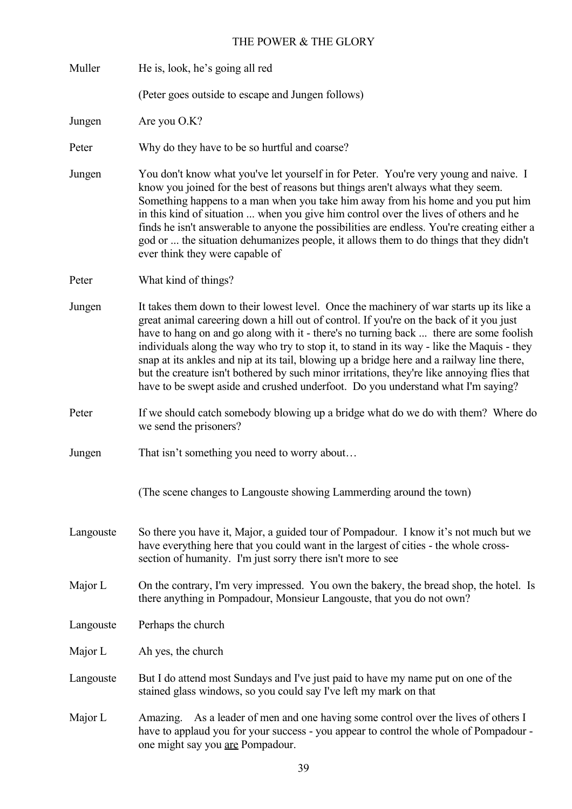| Muller    | He is, look, he's going all red                                                                                                                                                                                                                                                                                                                                                                                                                                                                                                                                                                                                                              |
|-----------|--------------------------------------------------------------------------------------------------------------------------------------------------------------------------------------------------------------------------------------------------------------------------------------------------------------------------------------------------------------------------------------------------------------------------------------------------------------------------------------------------------------------------------------------------------------------------------------------------------------------------------------------------------------|
|           | (Peter goes outside to escape and Jungen follows)                                                                                                                                                                                                                                                                                                                                                                                                                                                                                                                                                                                                            |
| Jungen    | Are you O.K?                                                                                                                                                                                                                                                                                                                                                                                                                                                                                                                                                                                                                                                 |
| Peter     | Why do they have to be so hurtful and coarse?                                                                                                                                                                                                                                                                                                                                                                                                                                                                                                                                                                                                                |
| Jungen    | You don't know what you've let yourself in for Peter. You're very young and naive. I<br>know you joined for the best of reasons but things aren't always what they seem.<br>Something happens to a man when you take him away from his home and you put him<br>in this kind of situation  when you give him control over the lives of others and he<br>finds he isn't answerable to anyone the possibilities are endless. You're creating either a<br>god or  the situation dehumanizes people, it allows them to do things that they didn't<br>ever think they were capable of                                                                              |
| Peter     | What kind of things?                                                                                                                                                                                                                                                                                                                                                                                                                                                                                                                                                                                                                                         |
| Jungen    | It takes them down to their lowest level. Once the machinery of war starts up its like a<br>great animal careering down a hill out of control. If you're on the back of it you just<br>have to hang on and go along with it - there's no turning back  there are some foolish<br>individuals along the way who try to stop it, to stand in its way - like the Maquis - they<br>snap at its ankles and nip at its tail, blowing up a bridge here and a railway line there,<br>but the creature isn't bothered by such minor irritations, they're like annoying flies that<br>have to be swept aside and crushed underfoot. Do you understand what I'm saying? |
| Peter     | If we should catch somebody blowing up a bridge what do we do with them? Where do<br>we send the prisoners?                                                                                                                                                                                                                                                                                                                                                                                                                                                                                                                                                  |
| Jungen    | That isn't something you need to worry about                                                                                                                                                                                                                                                                                                                                                                                                                                                                                                                                                                                                                 |
|           | (The scene changes to Langouste showing Lammerding around the town)                                                                                                                                                                                                                                                                                                                                                                                                                                                                                                                                                                                          |
| Langouste | So there you have it, Major, a guided tour of Pompadour. I know it's not much but we<br>have everything here that you could want in the largest of cities - the whole cross-<br>section of humanity. I'm just sorry there isn't more to see                                                                                                                                                                                                                                                                                                                                                                                                                  |
| Major L   | On the contrary, I'm very impressed. You own the bakery, the bread shop, the hotel. Is<br>there anything in Pompadour, Monsieur Langouste, that you do not own?                                                                                                                                                                                                                                                                                                                                                                                                                                                                                              |
| Langouste | Perhaps the church                                                                                                                                                                                                                                                                                                                                                                                                                                                                                                                                                                                                                                           |
| Major L   | Ah yes, the church                                                                                                                                                                                                                                                                                                                                                                                                                                                                                                                                                                                                                                           |
| Langouste | But I do attend most Sundays and I've just paid to have my name put on one of the<br>stained glass windows, so you could say I've left my mark on that                                                                                                                                                                                                                                                                                                                                                                                                                                                                                                       |
| Major L   | Amazing. As a leader of men and one having some control over the lives of others I<br>have to applaud you for your success - you appear to control the whole of Pompadour -<br>one might say you are Pompadour.                                                                                                                                                                                                                                                                                                                                                                                                                                              |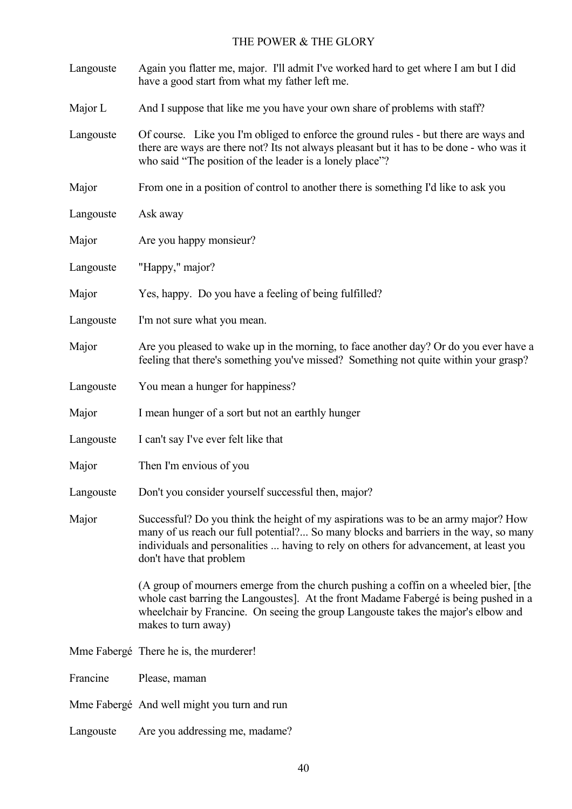| Langouste | Again you flatter me, major. I'll admit I've worked hard to get where I am but I did<br>have a good start from what my father left me.                                                                                                                                                         |
|-----------|------------------------------------------------------------------------------------------------------------------------------------------------------------------------------------------------------------------------------------------------------------------------------------------------|
| Major L   | And I suppose that like me you have your own share of problems with staff?                                                                                                                                                                                                                     |
| Langouste | Of course. Like you I'm obliged to enforce the ground rules - but there are ways and<br>there are ways are there not? Its not always pleasant but it has to be done - who was it<br>who said "The position of the leader is a lonely place"?                                                   |
| Major     | From one in a position of control to another there is something I'd like to ask you                                                                                                                                                                                                            |
| Langouste | Ask away                                                                                                                                                                                                                                                                                       |
| Major     | Are you happy monsieur?                                                                                                                                                                                                                                                                        |
| Langouste | "Happy," major?                                                                                                                                                                                                                                                                                |
| Major     | Yes, happy. Do you have a feeling of being fulfilled?                                                                                                                                                                                                                                          |
| Langouste | I'm not sure what you mean.                                                                                                                                                                                                                                                                    |
| Major     | Are you pleased to wake up in the morning, to face another day? Or do you ever have a<br>feeling that there's something you've missed? Something not quite within your grasp?                                                                                                                  |
| Langouste | You mean a hunger for happiness?                                                                                                                                                                                                                                                               |
| Major     | I mean hunger of a sort but not an earthly hunger                                                                                                                                                                                                                                              |
| Langouste | I can't say I've ever felt like that                                                                                                                                                                                                                                                           |
| Major     | Then I'm envious of you                                                                                                                                                                                                                                                                        |
| Langouste | Don't you consider yourself successful then, major?                                                                                                                                                                                                                                            |
| Major     | Successful? Do you think the height of my aspirations was to be an army major? How<br>many of us reach our full potential? So many blocks and barriers in the way, so many<br>individuals and personalities  having to rely on others for advancement, at least you<br>don't have that problem |
|           | (A group of mourners emerge from the church pushing a coffin on a wheeled bier, [the<br>whole cast barring the Langoustes]. At the front Madame Fabergé is being pushed in a<br>wheelchair by Francine. On seeing the group Langouste takes the major's elbow and<br>makes to turn away)       |
|           | Mme Fabergé There he is, the murderer!                                                                                                                                                                                                                                                         |
| Francine  | Please, maman                                                                                                                                                                                                                                                                                  |
|           | Mme Fabergé And well might you turn and run                                                                                                                                                                                                                                                    |
| Langouste | Are you addressing me, madame?                                                                                                                                                                                                                                                                 |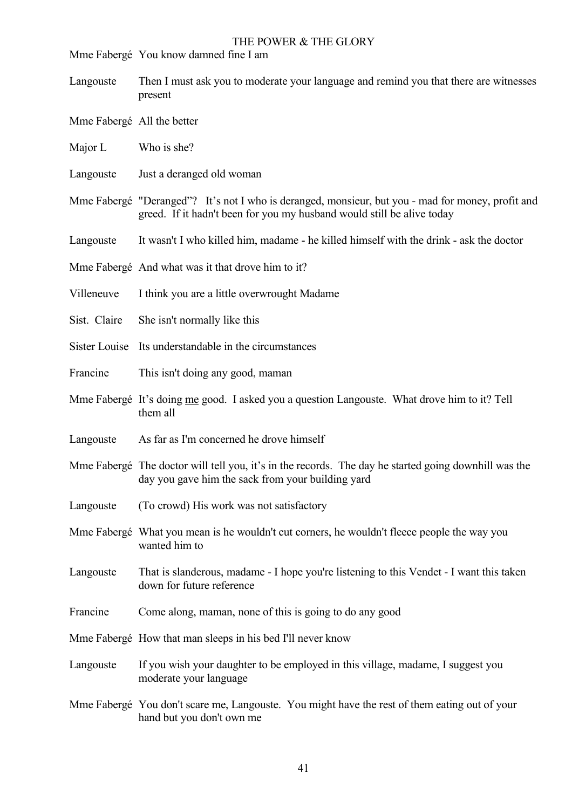Mme Fabergé You know damned fine I am

- Langouste Then I must ask you to moderate your language and remind you that there are witnesses present
- Mme Fabergé All the better
- Major L Who is she?
- Langouste Just a deranged old woman
- Mme Fabergé "Deranged"? It's not I who is deranged, monsieur, but you mad for money, profit and greed. If it hadn't been for you my husband would still be alive today
- Langouste It wasn't I who killed him, madame he killed himself with the drink ask the doctor
- Mme Fabergé And what was it that drove him to it?
- Villeneuve I think you are a little overwrought Madame
- Sist. Claire She isn't normally like this
- Sister Louise Its understandable in the circumstances
- Francine This isn't doing any good, maman
- Mme Fabergé It's doing me good. I asked you a question Langouste. What drove him to it? Tell them all
- Langouste As far as I'm concerned he drove himself
- Mme Fabergé The doctor will tell you, it's in the records. The day he started going downhill was the day you gave him the sack from your building yard
- Langouste (To crowd) His work was not satisfactory
- Mme Fabergé What you mean is he wouldn't cut corners, he wouldn't fleece people the way you wanted him to
- Langouste That is slanderous, madame I hope you're listening to this Vendet I want this taken down for future reference
- Francine Come along, maman, none of this is going to do any good
- Mme Fabergé How that man sleeps in his bed I'll never know
- Langouste If you wish your daughter to be employed in this village, madame, I suggest you moderate your language
- Mme Fabergé You don't scare me, Langouste. You might have the rest of them eating out of your hand but you don't own me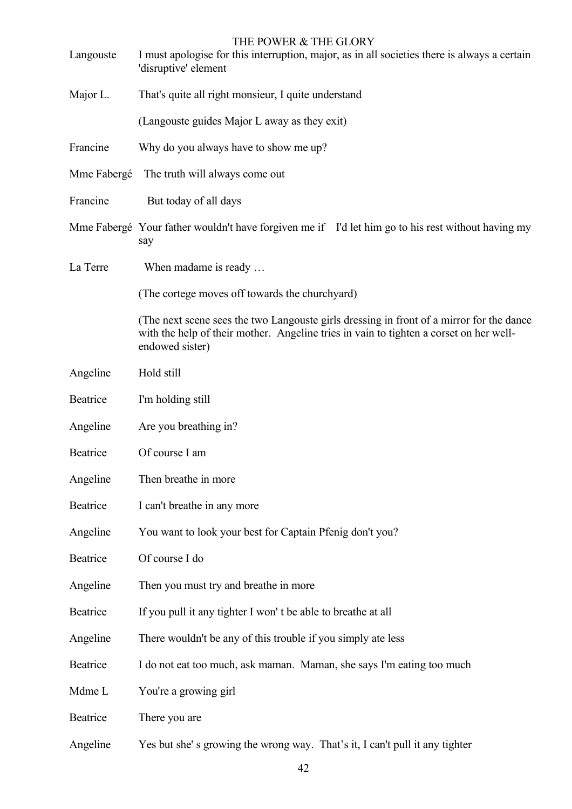| Langouste   | THE POWER & THE GLORY<br>I must apologise for this interruption, major, as in all societies there is always a certain<br>'disruptive' element                                                         |
|-------------|-------------------------------------------------------------------------------------------------------------------------------------------------------------------------------------------------------|
| Major L.    | That's quite all right monsieur, I quite understand                                                                                                                                                   |
|             | (Langouste guides Major L away as they exit)                                                                                                                                                          |
| Francine    | Why do you always have to show me up?                                                                                                                                                                 |
| Mme Fabergé | The truth will always come out                                                                                                                                                                        |
| Francine    | But today of all days                                                                                                                                                                                 |
|             | Mme Fabergé Your father wouldn't have forgiven me if I'd let him go to his rest without having my<br>say                                                                                              |
| La Terre    | When madame is ready                                                                                                                                                                                  |
|             | (The cortege moves off towards the churchyard)                                                                                                                                                        |
|             | (The next scene sees the two Langouste girls dressing in front of a mirror for the dance<br>with the help of their mother. Angeline tries in vain to tighten a corset on her well-<br>endowed sister) |
| Angeline    | Hold still                                                                                                                                                                                            |
| Beatrice    | I'm holding still                                                                                                                                                                                     |
| Angeline    | Are you breathing in?                                                                                                                                                                                 |
| Beatrice    | Of course I am                                                                                                                                                                                        |
| Angeline    | Then breathe in more                                                                                                                                                                                  |
| Beatrice    | I can't breathe in any more                                                                                                                                                                           |
| Angeline    | You want to look your best for Captain Pfenig don't you?                                                                                                                                              |
| Beatrice    | Of course I do                                                                                                                                                                                        |
| Angeline    | Then you must try and breathe in more                                                                                                                                                                 |
| Beatrice    | If you pull it any tighter I won't be able to breathe at all                                                                                                                                          |
| Angeline    | There wouldn't be any of this trouble if you simply ate less                                                                                                                                          |
| Beatrice    | I do not eat too much, ask maman. Maman, she says I'm eating too much                                                                                                                                 |
| Mdme L      | You're a growing girl                                                                                                                                                                                 |
| Beatrice    | There you are                                                                                                                                                                                         |
| Angeline    | Yes but she's growing the wrong way. That's it, I can't pull it any tighter                                                                                                                           |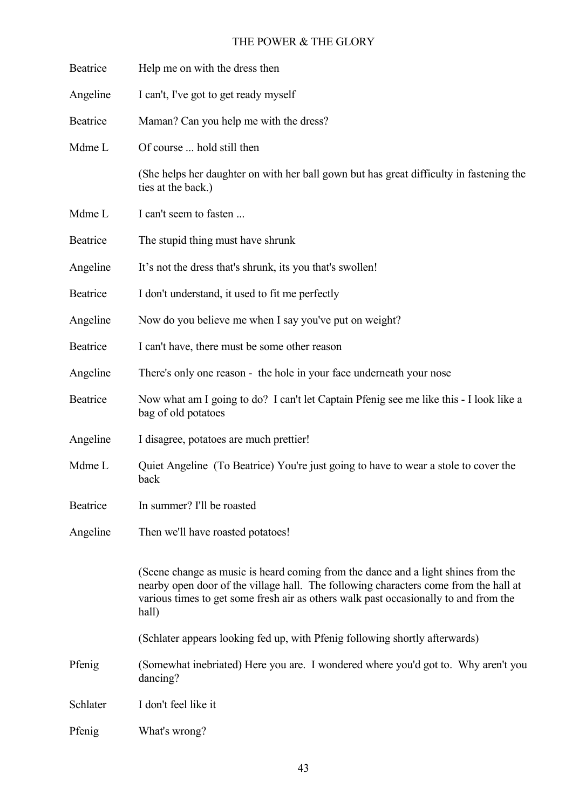| Beatrice | Help me on with the dress then                                                                                                                                                                                                                                             |
|----------|----------------------------------------------------------------------------------------------------------------------------------------------------------------------------------------------------------------------------------------------------------------------------|
| Angeline | I can't, I've got to get ready myself                                                                                                                                                                                                                                      |
| Beatrice | Maman? Can you help me with the dress?                                                                                                                                                                                                                                     |
| Mdme L   | Of course  hold still then                                                                                                                                                                                                                                                 |
|          | (She helps her daughter on with her ball gown but has great difficulty in fastening the<br>ties at the back.)                                                                                                                                                              |
| Mdme L   | I can't seem to fasten                                                                                                                                                                                                                                                     |
| Beatrice | The stupid thing must have shrunk                                                                                                                                                                                                                                          |
| Angeline | It's not the dress that's shrunk, its you that's swollen!                                                                                                                                                                                                                  |
| Beatrice | I don't understand, it used to fit me perfectly                                                                                                                                                                                                                            |
| Angeline | Now do you believe me when I say you've put on weight?                                                                                                                                                                                                                     |
| Beatrice | I can't have, there must be some other reason                                                                                                                                                                                                                              |
| Angeline | There's only one reason - the hole in your face underneath your nose                                                                                                                                                                                                       |
| Beatrice | Now what am I going to do? I can't let Captain Pfenig see me like this - I look like a<br>bag of old potatoes                                                                                                                                                              |
| Angeline | I disagree, potatoes are much prettier!                                                                                                                                                                                                                                    |
| Mdme L   | Quiet Angeline (To Beatrice) You're just going to have to wear a stole to cover the<br>back                                                                                                                                                                                |
| Beatrice | In summer? I'll be roasted                                                                                                                                                                                                                                                 |
| Angeline | Then we'll have roasted potatoes!                                                                                                                                                                                                                                          |
|          | (Scene change as music is heard coming from the dance and a light shines from the<br>nearby open door of the village hall. The following characters come from the hall at<br>various times to get some fresh air as others walk past occasionally to and from the<br>hall) |
|          | (Schlater appears looking fed up, with Pfenig following shortly afterwards)                                                                                                                                                                                                |
| Pfenig   | (Somewhat inebriated) Here you are. I wondered where you'd got to. Why aren't you<br>dancing?                                                                                                                                                                              |
| Schlater | I don't feel like it                                                                                                                                                                                                                                                       |
| Pfenig   | What's wrong?                                                                                                                                                                                                                                                              |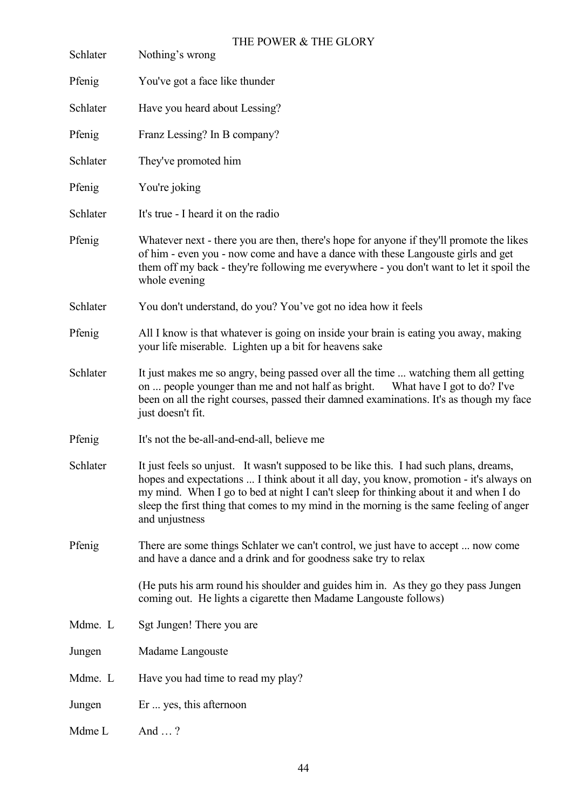| Schlater | THE POWER & THE GLORY<br>Nothing's wrong                                                                                                                                                                                                                                                                                                                                              |
|----------|---------------------------------------------------------------------------------------------------------------------------------------------------------------------------------------------------------------------------------------------------------------------------------------------------------------------------------------------------------------------------------------|
| Pfenig   | You've got a face like thunder                                                                                                                                                                                                                                                                                                                                                        |
| Schlater | Have you heard about Lessing?                                                                                                                                                                                                                                                                                                                                                         |
| Pfenig   | Franz Lessing? In B company?                                                                                                                                                                                                                                                                                                                                                          |
| Schlater | They've promoted him                                                                                                                                                                                                                                                                                                                                                                  |
| Pfenig   | You're joking                                                                                                                                                                                                                                                                                                                                                                         |
| Schlater | It's true - I heard it on the radio                                                                                                                                                                                                                                                                                                                                                   |
| Pfenig   | Whatever next - there you are then, there's hope for anyone if they'll promote the likes<br>of him - even you - now come and have a dance with these Langouste girls and get<br>them off my back - they're following me everywhere - you don't want to let it spoil the<br>whole evening                                                                                              |
| Schlater | You don't understand, do you? You've got no idea how it feels                                                                                                                                                                                                                                                                                                                         |
| Pfenig   | All I know is that whatever is going on inside your brain is eating you away, making<br>your life miserable. Lighten up a bit for heavens sake                                                                                                                                                                                                                                        |
| Schlater | It just makes me so angry, being passed over all the time  watching them all getting<br>on  people younger than me and not half as bright.<br>What have I got to do? I've<br>been on all the right courses, passed their damned examinations. It's as though my face<br>just doesn't fit.                                                                                             |
| Pfenig   | It's not the be-all-and-end-all, believe me                                                                                                                                                                                                                                                                                                                                           |
| Schlater | It just feels so unjust. It wasn't supposed to be like this. I had such plans, dreams,<br>hopes and expectations  I think about it all day, you know, promotion - it's always on<br>my mind. When I go to bed at night I can't sleep for thinking about it and when I do<br>sleep the first thing that comes to my mind in the morning is the same feeling of anger<br>and unjustness |
| Pfenig   | There are some things Schlater we can't control, we just have to accept  now come<br>and have a dance and a drink and for goodness sake try to relax                                                                                                                                                                                                                                  |
|          | (He puts his arm round his shoulder and guides him in. As they go they pass Jungen<br>coming out. He lights a cigarette then Madame Langouste follows)                                                                                                                                                                                                                                |
| Mdme. L  | Sgt Jungen! There you are                                                                                                                                                                                                                                                                                                                                                             |
| Jungen   | Madame Langouste                                                                                                                                                                                                                                                                                                                                                                      |
| Mdme. L  | Have you had time to read my play?                                                                                                                                                                                                                                                                                                                                                    |
| Jungen   | Er  yes, this afternoon                                                                                                                                                                                                                                                                                                                                                               |
| Mdme L   | And ?                                                                                                                                                                                                                                                                                                                                                                                 |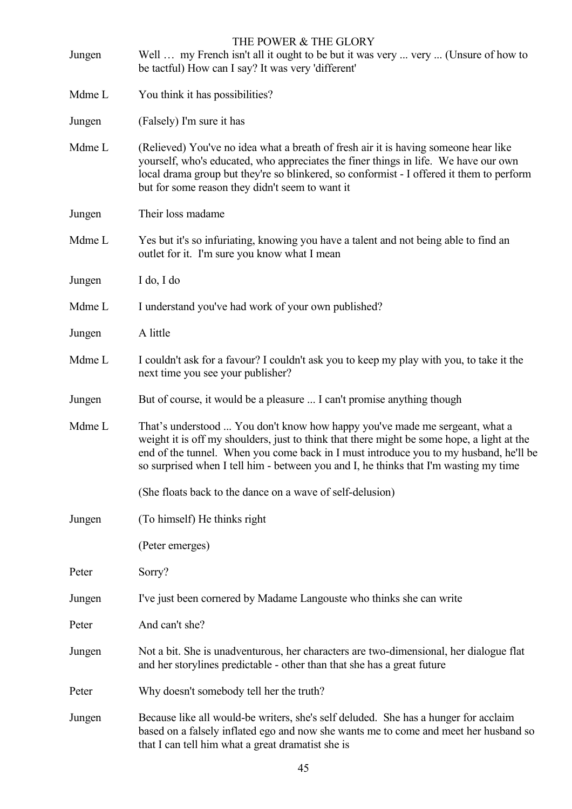| Jungen | THE POWER & THE GLORY<br>Well  my French isn't all it ought to be but it was very  very  (Unsure of how to<br>be tactful) How can I say? It was very 'different'                                                                                                                                                                                           |
|--------|------------------------------------------------------------------------------------------------------------------------------------------------------------------------------------------------------------------------------------------------------------------------------------------------------------------------------------------------------------|
| Mdme L | You think it has possibilities?                                                                                                                                                                                                                                                                                                                            |
| Jungen | (Falsely) I'm sure it has                                                                                                                                                                                                                                                                                                                                  |
| Mdme L | (Relieved) You've no idea what a breath of fresh air it is having someone hear like<br>yourself, who's educated, who appreciates the finer things in life. We have our own<br>local drama group but they're so blinkered, so conformist - I offered it them to perform<br>but for some reason they didn't seem to want it                                  |
| Jungen | Their loss madame                                                                                                                                                                                                                                                                                                                                          |
| Mdme L | Yes but it's so infuriating, knowing you have a talent and not being able to find an<br>outlet for it. I'm sure you know what I mean                                                                                                                                                                                                                       |
| Jungen | I do, I do                                                                                                                                                                                                                                                                                                                                                 |
| Mdme L | I understand you've had work of your own published?                                                                                                                                                                                                                                                                                                        |
| Jungen | A little                                                                                                                                                                                                                                                                                                                                                   |
| Mdme L | I couldn't ask for a favour? I couldn't ask you to keep my play with you, to take it the<br>next time you see your publisher?                                                                                                                                                                                                                              |
| Jungen | But of course, it would be a pleasure  I can't promise anything though                                                                                                                                                                                                                                                                                     |
| Mdme L | That's understood  You don't know how happy you've made me sergeant, what a<br>weight it is off my shoulders, just to think that there might be some hope, a light at the<br>end of the tunnel. When you come back in I must introduce you to my husband, he'll be<br>so surprised when I tell him - between you and I, he thinks that I'm wasting my time |
|        | (She floats back to the dance on a wave of self-delusion)                                                                                                                                                                                                                                                                                                  |
| Jungen | (To himself) He thinks right                                                                                                                                                                                                                                                                                                                               |
|        | (Peter emerges)                                                                                                                                                                                                                                                                                                                                            |
| Peter  | Sorry?                                                                                                                                                                                                                                                                                                                                                     |
| Jungen | I've just been cornered by Madame Langouste who thinks she can write                                                                                                                                                                                                                                                                                       |
| Peter  | And can't she?                                                                                                                                                                                                                                                                                                                                             |
| Jungen | Not a bit. She is unadventurous, her characters are two-dimensional, her dialogue flat<br>and her storylines predictable - other than that she has a great future                                                                                                                                                                                          |
| Peter  | Why doesn't somebody tell her the truth?                                                                                                                                                                                                                                                                                                                   |
| Jungen | Because like all would-be writers, she's self deluded. She has a hunger for acclaim<br>based on a falsely inflated ego and now she wants me to come and meet her husband so<br>that I can tell him what a great dramatist she is                                                                                                                           |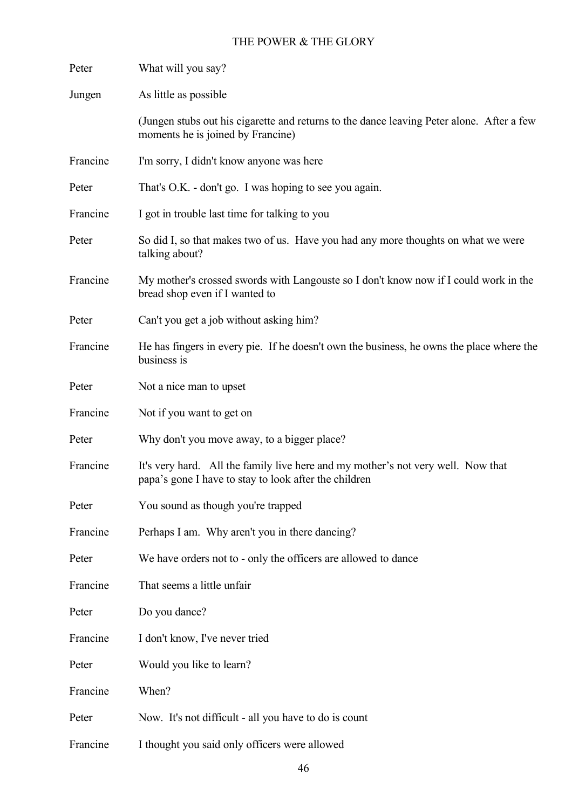| Peter    | What will you say?                                                                                                                        |
|----------|-------------------------------------------------------------------------------------------------------------------------------------------|
| Jungen   | As little as possible                                                                                                                     |
|          | (Jungen stubs out his cigarette and returns to the dance leaving Peter alone. After a few<br>moments he is joined by Francine)            |
| Francine | I'm sorry, I didn't know anyone was here                                                                                                  |
| Peter    | That's O.K. - don't go. I was hoping to see you again.                                                                                    |
| Francine | I got in trouble last time for talking to you                                                                                             |
| Peter    | So did I, so that makes two of us. Have you had any more thoughts on what we were<br>talking about?                                       |
| Francine | My mother's crossed swords with Langouste so I don't know now if I could work in the<br>bread shop even if I wanted to                    |
| Peter    | Can't you get a job without asking him?                                                                                                   |
| Francine | He has fingers in every pie. If he doesn't own the business, he owns the place where the<br>business is                                   |
| Peter    | Not a nice man to upset                                                                                                                   |
| Francine | Not if you want to get on                                                                                                                 |
| Peter    | Why don't you move away, to a bigger place?                                                                                               |
| Francine | It's very hard. All the family live here and my mother's not very well. Now that<br>papa's gone I have to stay to look after the children |
| Peter    | You sound as though you're trapped                                                                                                        |
| Francine | Perhaps I am. Why aren't you in there dancing?                                                                                            |
| Peter    | We have orders not to - only the officers are allowed to dance                                                                            |
| Francine | That seems a little unfair                                                                                                                |
| Peter    | Do you dance?                                                                                                                             |
| Francine | I don't know, I've never tried                                                                                                            |
| Peter    | Would you like to learn?                                                                                                                  |
| Francine | When?                                                                                                                                     |
| Peter    | Now. It's not difficult - all you have to do is count                                                                                     |
| Francine | I thought you said only officers were allowed                                                                                             |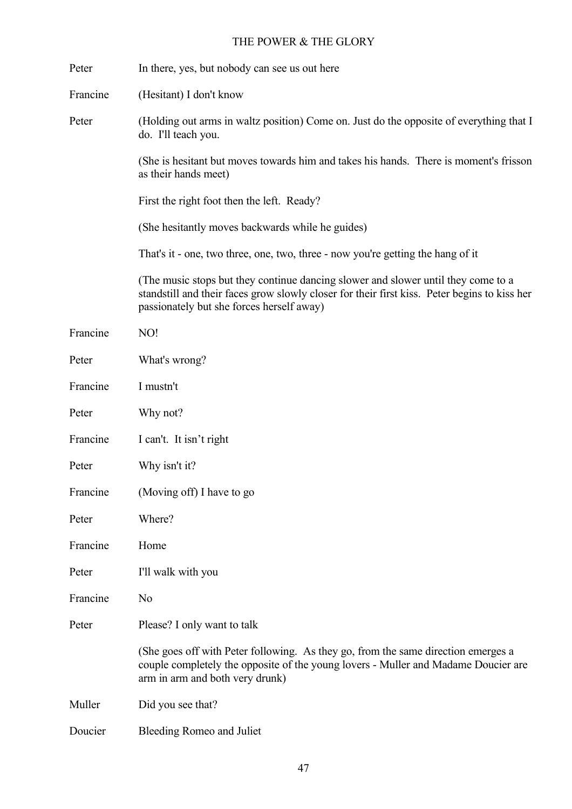| Peter    | In there, yes, but nobody can see us out here                                                                                                                                                                                  |
|----------|--------------------------------------------------------------------------------------------------------------------------------------------------------------------------------------------------------------------------------|
| Francine | (Hesitant) I don't know                                                                                                                                                                                                        |
| Peter    | (Holding out arms in waltz position) Come on. Just do the opposite of everything that I<br>do. I'll teach you.                                                                                                                 |
|          | (She is hesitant but moves towards him and takes his hands. There is moment's frisson<br>as their hands meet)                                                                                                                  |
|          | First the right foot then the left. Ready?                                                                                                                                                                                     |
|          | (She hesitantly moves backwards while he guides)                                                                                                                                                                               |
|          | That's it - one, two three, one, two, three - now you're getting the hang of it                                                                                                                                                |
|          | (The music stops but they continue dancing slower and slower until they come to a<br>standstill and their faces grow slowly closer for their first kiss. Peter begins to kiss her<br>passionately but she forces herself away) |
| Francine | NO!                                                                                                                                                                                                                            |
| Peter    | What's wrong?                                                                                                                                                                                                                  |
| Francine | I mustn't                                                                                                                                                                                                                      |
| Peter    | Why not?                                                                                                                                                                                                                       |
| Francine | I can't. It isn't right                                                                                                                                                                                                        |
| Peter    | Why isn't it?                                                                                                                                                                                                                  |
| Francine | (Moving off) I have to go                                                                                                                                                                                                      |
| Peter    | Where?                                                                                                                                                                                                                         |
| Francine | Home                                                                                                                                                                                                                           |
| Peter    | I'll walk with you                                                                                                                                                                                                             |
| Francine | N <sub>0</sub>                                                                                                                                                                                                                 |
| Peter    | Please? I only want to talk                                                                                                                                                                                                    |
|          | (She goes off with Peter following. As they go, from the same direction emerges a<br>couple completely the opposite of the young lovers - Muller and Madame Doucier are<br>arm in arm and both very drunk)                     |
| Muller   | Did you see that?                                                                                                                                                                                                              |
| Doucier  | Bleeding Romeo and Juliet                                                                                                                                                                                                      |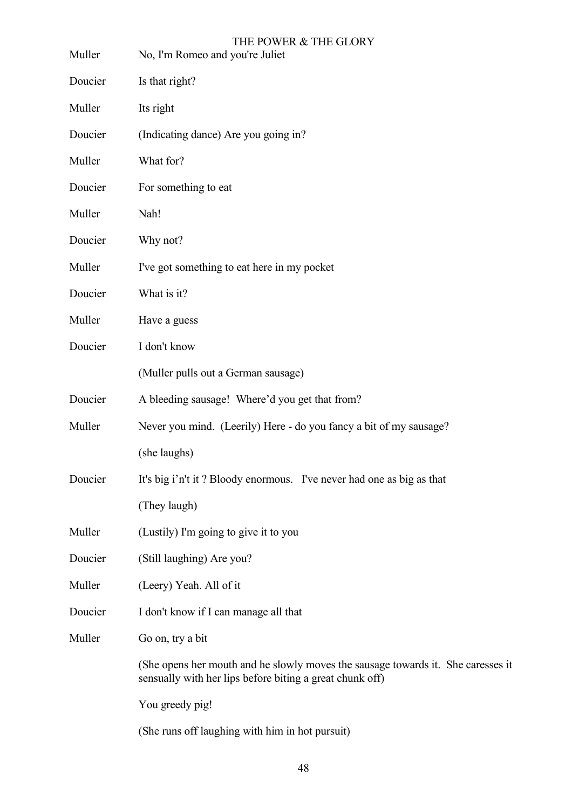| Muller  | THE POWER & THE GLORY<br>No, I'm Romeo and you're Juliet                                                                                     |
|---------|----------------------------------------------------------------------------------------------------------------------------------------------|
| Doucier | Is that right?                                                                                                                               |
| Muller  | Its right                                                                                                                                    |
| Doucier | (Indicating dance) Are you going in?                                                                                                         |
| Muller  | What for?                                                                                                                                    |
| Doucier | For something to eat                                                                                                                         |
| Muller  | Nah!                                                                                                                                         |
| Doucier | Why not?                                                                                                                                     |
| Muller  | I've got something to eat here in my pocket                                                                                                  |
| Doucier | What is it?                                                                                                                                  |
| Muller  | Have a guess                                                                                                                                 |
| Doucier | I don't know                                                                                                                                 |
|         | (Muller pulls out a German sausage)                                                                                                          |
| Doucier | A bleeding sausage! Where'd you get that from?                                                                                               |
| Muller  | Never you mind. (Leerily) Here - do you fancy a bit of my sausage?                                                                           |
|         | (she laughs)                                                                                                                                 |
| Doucier | It's big i'n't it? Bloody enormous. I've never had one as big as that                                                                        |
|         | (They laugh)                                                                                                                                 |
| Muller  | (Lustily) I'm going to give it to you                                                                                                        |
| Doucier | (Still laughing) Are you?                                                                                                                    |
| Muller  | (Leery) Yeah. All of it                                                                                                                      |
| Doucier | I don't know if I can manage all that                                                                                                        |
| Muller  | Go on, try a bit                                                                                                                             |
|         | (She opens her mouth and he slowly moves the sausage towards it. She caresses it<br>sensually with her lips before biting a great chunk off) |
|         | You greedy pig!                                                                                                                              |
|         | (She runs off laughing with him in hot pursuit)                                                                                              |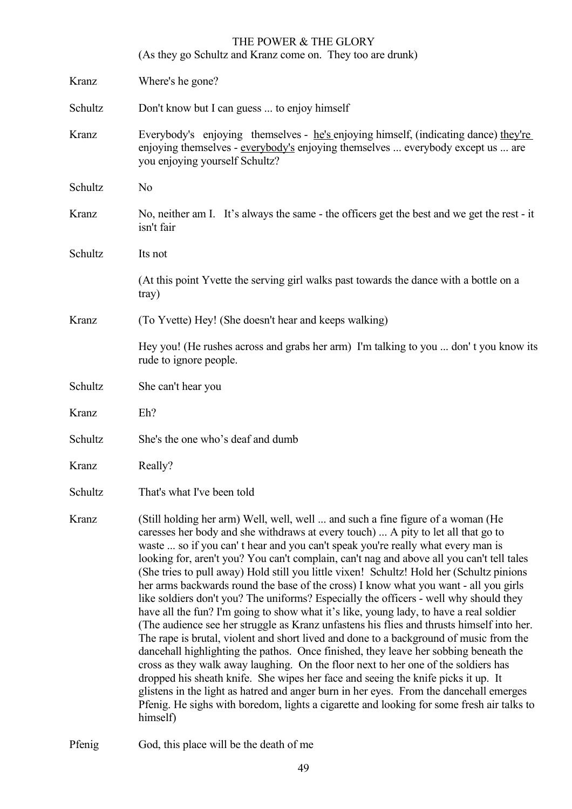(As they go Schultz and Kranz come on. They too are drunk)

| Kranz   | Where's he gone?                                                                                                                                                                                                                                                                                                                                                                                                                                                                                                                                                                                                                                                                                                                                                                                                                                                                                                                                                                                                                                                                                                                                                                                                                                                                                                                                                                          |
|---------|-------------------------------------------------------------------------------------------------------------------------------------------------------------------------------------------------------------------------------------------------------------------------------------------------------------------------------------------------------------------------------------------------------------------------------------------------------------------------------------------------------------------------------------------------------------------------------------------------------------------------------------------------------------------------------------------------------------------------------------------------------------------------------------------------------------------------------------------------------------------------------------------------------------------------------------------------------------------------------------------------------------------------------------------------------------------------------------------------------------------------------------------------------------------------------------------------------------------------------------------------------------------------------------------------------------------------------------------------------------------------------------------|
| Schultz | Don't know but I can guess  to enjoy himself                                                                                                                                                                                                                                                                                                                                                                                                                                                                                                                                                                                                                                                                                                                                                                                                                                                                                                                                                                                                                                                                                                                                                                                                                                                                                                                                              |
| Kranz   | Everybody's enjoying themselves - he's enjoying himself, (indicating dance) they're<br>enjoying themselves - everybody's enjoying themselves  everybody except us  are<br>you enjoying yourself Schultz?                                                                                                                                                                                                                                                                                                                                                                                                                                                                                                                                                                                                                                                                                                                                                                                                                                                                                                                                                                                                                                                                                                                                                                                  |
| Schultz | N <sub>o</sub>                                                                                                                                                                                                                                                                                                                                                                                                                                                                                                                                                                                                                                                                                                                                                                                                                                                                                                                                                                                                                                                                                                                                                                                                                                                                                                                                                                            |
| Kranz   | No, neither am I. It's always the same - the officers get the best and we get the rest - it<br>isn't fair                                                                                                                                                                                                                                                                                                                                                                                                                                                                                                                                                                                                                                                                                                                                                                                                                                                                                                                                                                                                                                                                                                                                                                                                                                                                                 |
| Schultz | Its not                                                                                                                                                                                                                                                                                                                                                                                                                                                                                                                                                                                                                                                                                                                                                                                                                                                                                                                                                                                                                                                                                                                                                                                                                                                                                                                                                                                   |
|         | (At this point Yvette the serving girl walks past towards the dance with a bottle on a<br>tray)                                                                                                                                                                                                                                                                                                                                                                                                                                                                                                                                                                                                                                                                                                                                                                                                                                                                                                                                                                                                                                                                                                                                                                                                                                                                                           |
| Kranz   | (To Yvette) Hey! (She doesn't hear and keeps walking)                                                                                                                                                                                                                                                                                                                                                                                                                                                                                                                                                                                                                                                                                                                                                                                                                                                                                                                                                                                                                                                                                                                                                                                                                                                                                                                                     |
|         | Hey you! (He rushes across and grabs her arm) I'm talking to you  don't you know its<br>rude to ignore people.                                                                                                                                                                                                                                                                                                                                                                                                                                                                                                                                                                                                                                                                                                                                                                                                                                                                                                                                                                                                                                                                                                                                                                                                                                                                            |
| Schultz | She can't hear you                                                                                                                                                                                                                                                                                                                                                                                                                                                                                                                                                                                                                                                                                                                                                                                                                                                                                                                                                                                                                                                                                                                                                                                                                                                                                                                                                                        |
| Kranz   | Eh?                                                                                                                                                                                                                                                                                                                                                                                                                                                                                                                                                                                                                                                                                                                                                                                                                                                                                                                                                                                                                                                                                                                                                                                                                                                                                                                                                                                       |
| Schultz | She's the one who's deaf and dumb                                                                                                                                                                                                                                                                                                                                                                                                                                                                                                                                                                                                                                                                                                                                                                                                                                                                                                                                                                                                                                                                                                                                                                                                                                                                                                                                                         |
| Kranz   | Really?                                                                                                                                                                                                                                                                                                                                                                                                                                                                                                                                                                                                                                                                                                                                                                                                                                                                                                                                                                                                                                                                                                                                                                                                                                                                                                                                                                                   |
| Schultz | That's what I've been told                                                                                                                                                                                                                                                                                                                                                                                                                                                                                                                                                                                                                                                                                                                                                                                                                                                                                                                                                                                                                                                                                                                                                                                                                                                                                                                                                                |
| Kranz   | (Still holding her arm) Well, well, well  and such a fine figure of a woman (He<br>caresses her body and she withdraws at every touch)  A pity to let all that go to<br>waste  so if you can't hear and you can't speak you're really what every man is<br>looking for, aren't you? You can't complain, can't nag and above all you can't tell tales<br>(She tries to pull away) Hold still you little vixen! Schultz! Hold her (Schultz pinions<br>her arms backwards round the base of the cross) I know what you want - all you girls<br>like soldiers don't you? The uniforms? Especially the officers - well why should they<br>have all the fun? I'm going to show what it's like, young lady, to have a real soldier<br>(The audience see her struggle as Kranz unfastens his flies and thrusts himself into her.<br>The rape is brutal, violent and short lived and done to a background of music from the<br>dance hall highlighting the pathos. Once finished, they leave her sobbing beneath the<br>cross as they walk away laughing. On the floor next to her one of the soldiers has<br>dropped his sheath knife. She wipes her face and seeing the knife picks it up. It<br>glistens in the light as hatred and anger burn in her eyes. From the dancehall emerges<br>Pfenig. He sighs with boredom, lights a cigarette and looking for some fresh air talks to<br>himself) |

Pfenig God, this place will be the death of me